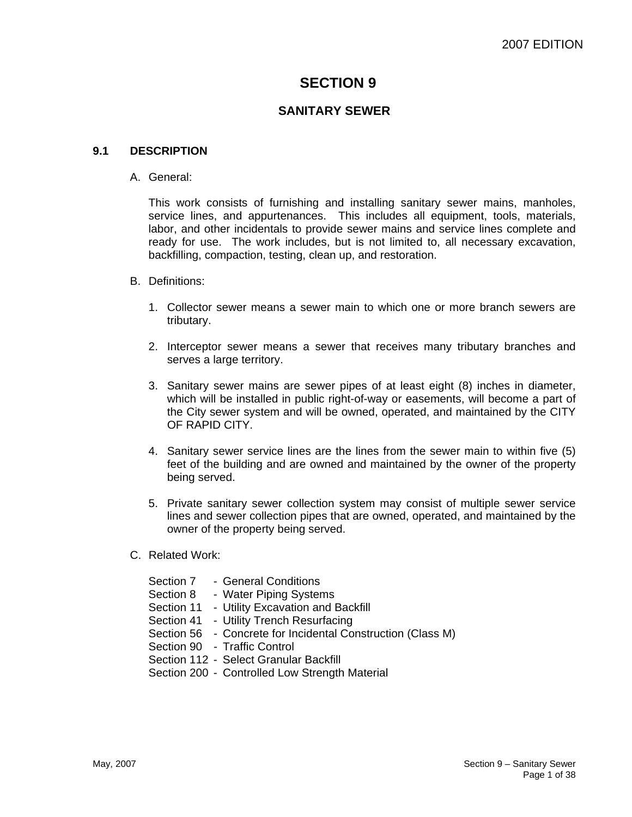# **SECTION 9**

# **SANITARY SEWER**

#### **9.1 DESCRIPTION**

A. General:

This work consists of furnishing and installing sanitary sewer mains, manholes, service lines, and appurtenances. This includes all equipment, tools, materials, labor, and other incidentals to provide sewer mains and service lines complete and ready for use. The work includes, but is not limited to, all necessary excavation, backfilling, compaction, testing, clean up, and restoration.

- B. Definitions:
	- 1. Collector sewer means a sewer main to which one or more branch sewers are tributary.
	- 2. Interceptor sewer means a sewer that receives many tributary branches and serves a large territory.
	- 3. Sanitary sewer mains are sewer pipes of at least eight (8) inches in diameter, which will be installed in public right-of-way or easements, will become a part of the City sewer system and will be owned, operated, and maintained by the CITY OF RAPID CITY.
	- 4. Sanitary sewer service lines are the lines from the sewer main to within five (5) feet of the building and are owned and maintained by the owner of the property being served.
	- 5. Private sanitary sewer collection system may consist of multiple sewer service lines and sewer collection pipes that are owned, operated, and maintained by the owner of the property being served.
- C. Related Work:

| Section 7 | - General Conditions                                        |
|-----------|-------------------------------------------------------------|
| Section 8 | - Water Piping Systems                                      |
|           | Section 11 - Utility Excavation and Backfill                |
|           | Section 41 - Utility Trench Resurfacing                     |
|           | Section 56 - Concrete for Incidental Construction (Class M) |
|           | Section 90 - Traffic Control                                |
|           | Section 112 - Select Granular Backfill                      |
|           | Section 200 - Controlled Low Strength Material              |
|           |                                                             |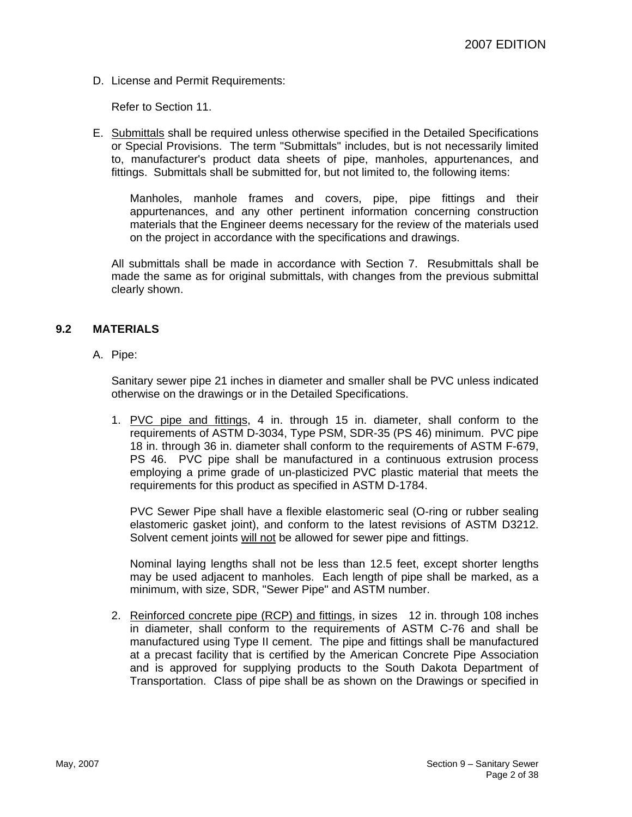D. License and Permit Requirements:

Refer to Section 11.

E. Submittals shall be required unless otherwise specified in the Detailed Specifications or Special Provisions. The term "Submittals" includes, but is not necessarily limited to, manufacturer's product data sheets of pipe, manholes, appurtenances, and fittings. Submittals shall be submitted for, but not limited to, the following items:

Manholes, manhole frames and covers, pipe, pipe fittings and their appurtenances, and any other pertinent information concerning construction materials that the Engineer deems necessary for the review of the materials used on the project in accordance with the specifications and drawings.

All submittals shall be made in accordance with Section 7. Resubmittals shall be made the same as for original submittals, with changes from the previous submittal clearly shown.

# **9.2 MATERIALS**

A. Pipe:

Sanitary sewer pipe 21 inches in diameter and smaller shall be PVC unless indicated otherwise on the drawings or in the Detailed Specifications.

1. PVC pipe and fittings, 4 in. through 15 in. diameter, shall conform to the requirements of ASTM D-3034, Type PSM, SDR-35 (PS 46) minimum. PVC pipe 18 in. through 36 in. diameter shall conform to the requirements of ASTM F-679, PS 46. PVC pipe shall be manufactured in a continuous extrusion process employing a prime grade of un-plasticized PVC plastic material that meets the requirements for this product as specified in ASTM D-1784.

PVC Sewer Pipe shall have a flexible elastomeric seal (O-ring or rubber sealing elastomeric gasket joint), and conform to the latest revisions of ASTM D3212. Solvent cement joints will not be allowed for sewer pipe and fittings.

Nominal laying lengths shall not be less than 12.5 feet, except shorter lengths may be used adjacent to manholes. Each length of pipe shall be marked, as a minimum, with size, SDR, "Sewer Pipe" and ASTM number.

2. Reinforced concrete pipe (RCP) and fittings, in sizes 12 in. through 108 inches in diameter, shall conform to the requirements of ASTM C-76 and shall be manufactured using Type II cement. The pipe and fittings shall be manufactured at a precast facility that is certified by the American Concrete Pipe Association and is approved for supplying products to the South Dakota Department of Transportation. Class of pipe shall be as shown on the Drawings or specified in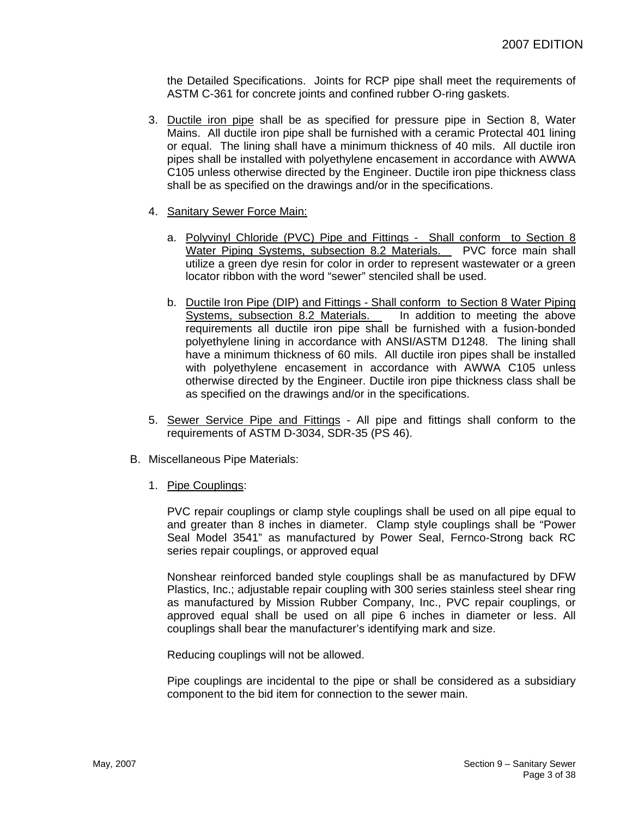the Detailed Specifications. Joints for RCP pipe shall meet the requirements of ASTM C-361 for concrete joints and confined rubber O-ring gaskets.

- 3. Ductile iron pipe shall be as specified for pressure pipe in Section 8, Water Mains. All ductile iron pipe shall be furnished with a ceramic Protectal 401 lining or equal. The lining shall have a minimum thickness of 40 mils. All ductile iron pipes shall be installed with polyethylene encasement in accordance with AWWA C105 unless otherwise directed by the Engineer. Ductile iron pipe thickness class shall be as specified on the drawings and/or in the specifications.
- 4. Sanitary Sewer Force Main:
	- a. Polyvinyl Chloride (PVC) Pipe and Fittings Shall conform to Section 8 Water Piping Systems, subsection 8.2 Materials. PVC force main shall utilize a green dye resin for color in order to represent wastewater or a green locator ribbon with the word "sewer" stenciled shall be used.
	- b. Ductile Iron Pipe (DIP) and Fittings Shall conform to Section 8 Water Piping Systems, subsection 8.2 Materials. In addition to meeting the above requirements all ductile iron pipe shall be furnished with a fusion-bonded polyethylene lining in accordance with ANSI/ASTM D1248. The lining shall have a minimum thickness of 60 mils. All ductile iron pipes shall be installed with polyethylene encasement in accordance with AWWA C105 unless otherwise directed by the Engineer. Ductile iron pipe thickness class shall be as specified on the drawings and/or in the specifications.
- 5. Sewer Service Pipe and Fittings All pipe and fittings shall conform to the requirements of ASTM D-3034, SDR-35 (PS 46).
- B. Miscellaneous Pipe Materials:
	- 1. Pipe Couplings:

PVC repair couplings or clamp style couplings shall be used on all pipe equal to and greater than 8 inches in diameter. Clamp style couplings shall be "Power Seal Model 3541" as manufactured by Power Seal, Fernco-Strong back RC series repair couplings, or approved equal

Nonshear reinforced banded style couplings shall be as manufactured by DFW Plastics, Inc.; adjustable repair coupling with 300 series stainless steel shear ring as manufactured by Mission Rubber Company, Inc., PVC repair couplings, or approved equal shall be used on all pipe 6 inches in diameter or less. All couplings shall bear the manufacturer's identifying mark and size.

Reducing couplings will not be allowed.

Pipe couplings are incidental to the pipe or shall be considered as a subsidiary component to the bid item for connection to the sewer main.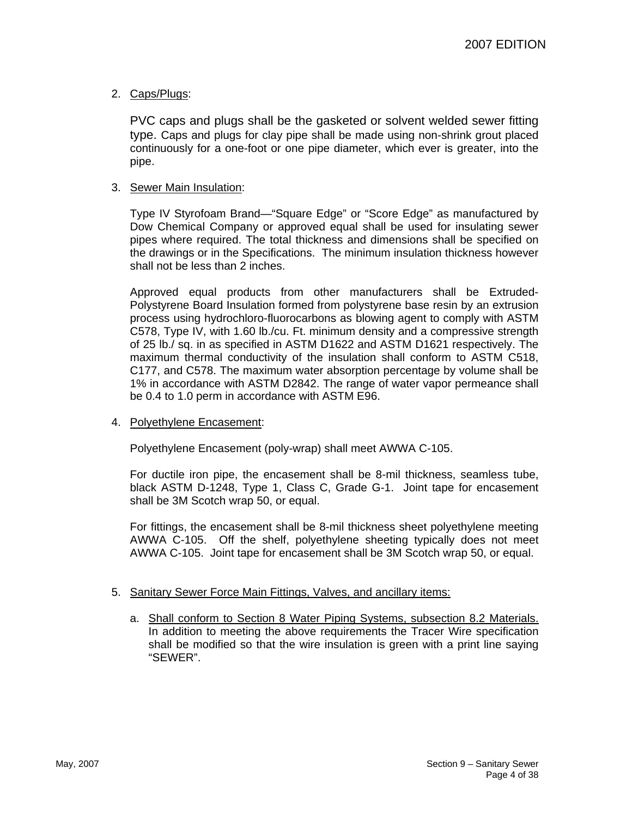# 2. Caps/Plugs:

PVC caps and plugs shall be the gasketed or solvent welded sewer fitting type. Caps and plugs for clay pipe shall be made using non-shrink grout placed continuously for a one-foot or one pipe diameter, which ever is greater, into the pipe.

#### 3. Sewer Main Insulation:

Type IV Styrofoam Brand—"Square Edge" or "Score Edge" as manufactured by Dow Chemical Company or approved equal shall be used for insulating sewer pipes where required. The total thickness and dimensions shall be specified on the drawings or in the Specifications. The minimum insulation thickness however shall not be less than 2 inches.

Approved equal products from other manufacturers shall be Extruded-Polystyrene Board Insulation formed from polystyrene base resin by an extrusion process using hydrochloro-fluorocarbons as blowing agent to comply with ASTM C578, Type IV, with 1.60 lb./cu. Ft. minimum density and a compressive strength of 25 lb./ sq. in as specified in ASTM D1622 and ASTM D1621 respectively. The maximum thermal conductivity of the insulation shall conform to ASTM C518, C177, and C578. The maximum water absorption percentage by volume shall be 1% in accordance with ASTM D2842. The range of water vapor permeance shall be 0.4 to 1.0 perm in accordance with ASTM E96.

#### 4. Polyethylene Encasement:

Polyethylene Encasement (poly-wrap) shall meet AWWA C-105.

For ductile iron pipe, the encasement shall be 8-mil thickness, seamless tube, black ASTM D-1248, Type 1, Class C, Grade G-1. Joint tape for encasement shall be 3M Scotch wrap 50, or equal.

For fittings, the encasement shall be 8-mil thickness sheet polyethylene meeting AWWA C-105. Off the shelf, polyethylene sheeting typically does not meet AWWA C-105. Joint tape for encasement shall be 3M Scotch wrap 50, or equal.

#### 5. Sanitary Sewer Force Main Fittings, Valves, and ancillary items:

a. Shall conform to Section 8 Water Piping Systems, subsection 8.2 Materials. In addition to meeting the above requirements the Tracer Wire specification shall be modified so that the wire insulation is green with a print line saying "SEWER".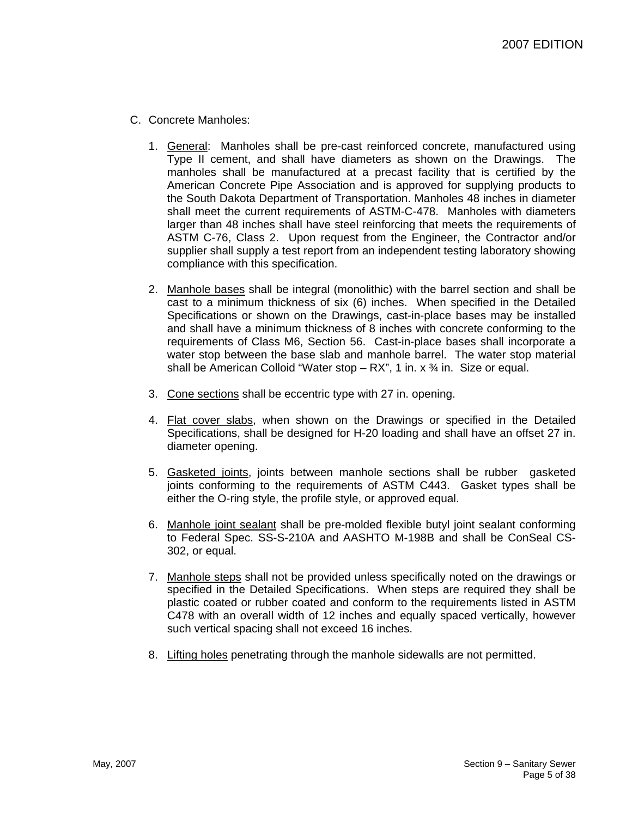- C. Concrete Manholes:
	- 1. General: Manholes shall be pre-cast reinforced concrete, manufactured using Type II cement, and shall have diameters as shown on the Drawings. The manholes shall be manufactured at a precast facility that is certified by the American Concrete Pipe Association and is approved for supplying products to the South Dakota Department of Transportation. Manholes 48 inches in diameter shall meet the current requirements of ASTM-C-478. Manholes with diameters larger than 48 inches shall have steel reinforcing that meets the requirements of ASTM C-76, Class 2. Upon request from the Engineer, the Contractor and/or supplier shall supply a test report from an independent testing laboratory showing compliance with this specification.
	- 2. Manhole bases shall be integral (monolithic) with the barrel section and shall be cast to a minimum thickness of six (6) inches. When specified in the Detailed Specifications or shown on the Drawings, cast-in-place bases may be installed and shall have a minimum thickness of 8 inches with concrete conforming to the requirements of Class M6, Section 56. Cast-in-place bases shall incorporate a water stop between the base slab and manhole barrel. The water stop material shall be American Colloid "Water stop  $- RX$ ", 1 in. x  $\frac{3}{4}$  in. Size or equal.
	- 3. Cone sections shall be eccentric type with 27 in. opening.
	- 4. Flat cover slabs, when shown on the Drawings or specified in the Detailed Specifications, shall be designed for H-20 loading and shall have an offset 27 in. diameter opening.
	- 5. Gasketed joints, joints between manhole sections shall be rubber gasketed joints conforming to the requirements of ASTM C443. Gasket types shall be either the O-ring style, the profile style, or approved equal.
	- 6. Manhole joint sealant shall be pre-molded flexible butyl joint sealant conforming to Federal Spec. SS-S-210A and AASHTO M-198B and shall be ConSeal CS-302, or equal.
	- 7. Manhole steps shall not be provided unless specifically noted on the drawings or specified in the Detailed Specifications. When steps are required they shall be plastic coated or rubber coated and conform to the requirements listed in ASTM C478 with an overall width of 12 inches and equally spaced vertically, however such vertical spacing shall not exceed 16 inches.
	- 8. Lifting holes penetrating through the manhole sidewalls are not permitted.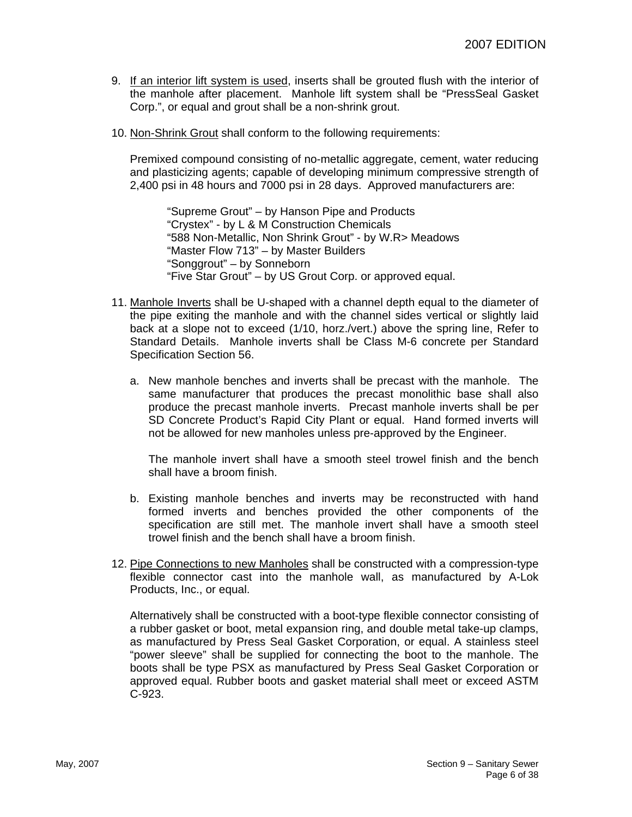- 9. If an interior lift system is used, inserts shall be grouted flush with the interior of the manhole after placement. Manhole lift system shall be "PressSeal Gasket Corp.", or equal and grout shall be a non-shrink grout.
- 10. Non-Shrink Grout shall conform to the following requirements:

Premixed compound consisting of no-metallic aggregate, cement, water reducing and plasticizing agents; capable of developing minimum compressive strength of 2,400 psi in 48 hours and 7000 psi in 28 days. Approved manufacturers are:

"Supreme Grout" – by Hanson Pipe and Products "Crystex" - by L & M Construction Chemicals "588 Non-Metallic, Non Shrink Grout" - by W.R> Meadows "Master Flow 713" – by Master Builders "Songgrout" – by Sonneborn "Five Star Grout" – by US Grout Corp. or approved equal.

- 11. Manhole Inverts shall be U-shaped with a channel depth equal to the diameter of the pipe exiting the manhole and with the channel sides vertical or slightly laid back at a slope not to exceed (1/10, horz./vert.) above the spring line, Refer to Standard Details. Manhole inverts shall be Class M-6 concrete per Standard Specification Section 56.
	- a. New manhole benches and inverts shall be precast with the manhole. The same manufacturer that produces the precast monolithic base shall also produce the precast manhole inverts. Precast manhole inverts shall be per SD Concrete Product's Rapid City Plant or equal. Hand formed inverts will not be allowed for new manholes unless pre-approved by the Engineer.

The manhole invert shall have a smooth steel trowel finish and the bench shall have a broom finish.

- b. Existing manhole benches and inverts may be reconstructed with hand formed inverts and benches provided the other components of the specification are still met. The manhole invert shall have a smooth steel trowel finish and the bench shall have a broom finish.
- 12. Pipe Connections to new Manholes shall be constructed with a compression-type flexible connector cast into the manhole wall, as manufactured by A-Lok Products, Inc., or equal.

Alternatively shall be constructed with a boot-type flexible connector consisting of a rubber gasket or boot, metal expansion ring, and double metal take-up clamps, as manufactured by Press Seal Gasket Corporation, or equal. A stainless steel "power sleeve" shall be supplied for connecting the boot to the manhole. The boots shall be type PSX as manufactured by Press Seal Gasket Corporation or approved equal. Rubber boots and gasket material shall meet or exceed ASTM C-923.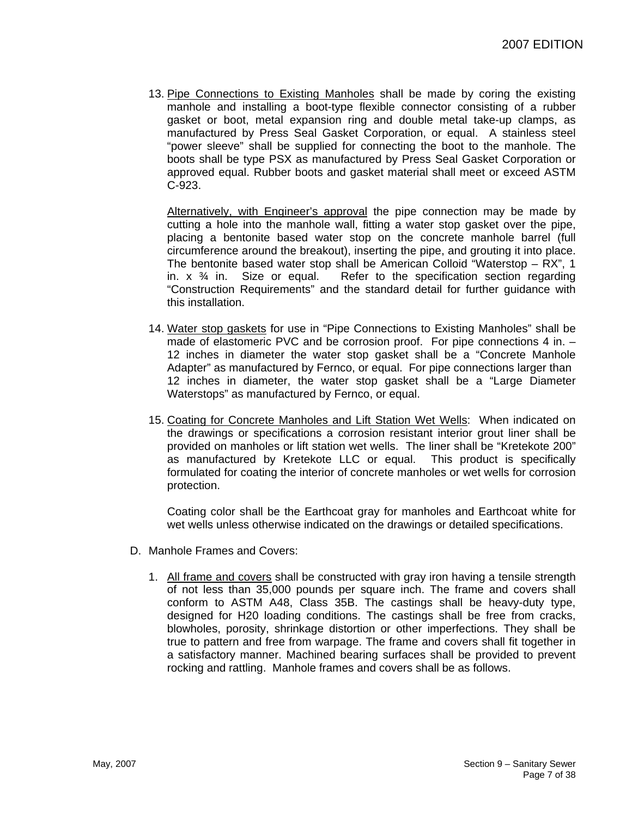13. Pipe Connections to Existing Manholes shall be made by coring the existing manhole and installing a boot-type flexible connector consisting of a rubber gasket or boot, metal expansion ring and double metal take-up clamps, as manufactured by Press Seal Gasket Corporation, or equal. A stainless steel "power sleeve" shall be supplied for connecting the boot to the manhole. The boots shall be type PSX as manufactured by Press Seal Gasket Corporation or approved equal. Rubber boots and gasket material shall meet or exceed ASTM C-923.

Alternatively, with Engineer's approval the pipe connection may be made by cutting a hole into the manhole wall, fitting a water stop gasket over the pipe, placing a bentonite based water stop on the concrete manhole barrel (full circumference around the breakout), inserting the pipe, and grouting it into place. The bentonite based water stop shall be American Colloid "Waterstop – RX", 1 in.  $x \frac{3}{4}$  in. Size or equal. Refer to the specification section regarding "Construction Requirements" and the standard detail for further guidance with this installation.

- 14. Water stop gaskets for use in "Pipe Connections to Existing Manholes" shall be made of elastomeric PVC and be corrosion proof. For pipe connections 4 in. -12 inches in diameter the water stop gasket shall be a "Concrete Manhole Adapter" as manufactured by Fernco, or equal. For pipe connections larger than 12 inches in diameter, the water stop gasket shall be a "Large Diameter Waterstops" as manufactured by Fernco, or equal.
- 15. Coating for Concrete Manholes and Lift Station Wet Wells: When indicated on the drawings or specifications a corrosion resistant interior grout liner shall be provided on manholes or lift station wet wells. The liner shall be "Kretekote 200" as manufactured by Kretekote LLC or equal. This product is specifically formulated for coating the interior of concrete manholes or wet wells for corrosion protection.

Coating color shall be the Earthcoat gray for manholes and Earthcoat white for wet wells unless otherwise indicated on the drawings or detailed specifications.

- D. Manhole Frames and Covers:
	- 1. All frame and covers shall be constructed with gray iron having a tensile strength of not less than 35,000 pounds per square inch. The frame and covers shall conform to ASTM A48, Class 35B. The castings shall be heavy-duty type, designed for H20 loading conditions. The castings shall be free from cracks, blowholes, porosity, shrinkage distortion or other imperfections. They shall be true to pattern and free from warpage. The frame and covers shall fit together in a satisfactory manner. Machined bearing surfaces shall be provided to prevent rocking and rattling. Manhole frames and covers shall be as follows.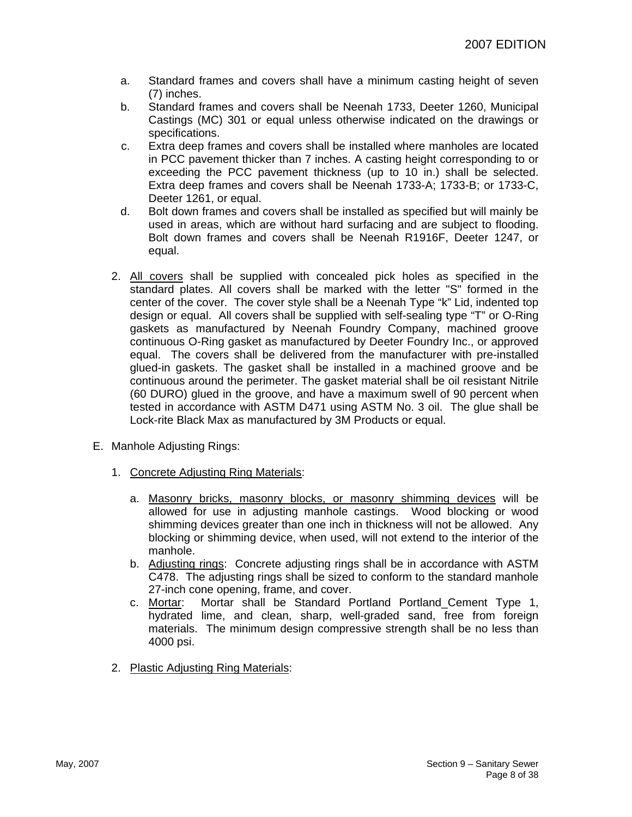- a. Standard frames and covers shall have a minimum casting height of seven (7) inches.
- b. Standard frames and covers shall be Neenah 1733, Deeter 1260, Municipal Castings (MC) 301 or equal unless otherwise indicated on the drawings or specifications.
- c. Extra deep frames and covers shall be installed where manholes are located in PCC pavement thicker than 7 inches. A casting height corresponding to or exceeding the PCC pavement thickness (up to 10 in.) shall be selected. Extra deep frames and covers shall be Neenah 1733-A; 1733-B; or 1733-C, Deeter 1261, or equal.
- d. Bolt down frames and covers shall be installed as specified but will mainly be used in areas, which are without hard surfacing and are subject to flooding. Bolt down frames and covers shall be Neenah R1916F, Deeter 1247, or equal.
- 2. All covers shall be supplied with concealed pick holes as specified in the standard plates. All covers shall be marked with the letter "S" formed in the center of the cover. The cover style shall be a Neenah Type "k" Lid, indented top design or equal. All covers shall be supplied with self-sealing type "T" or O-Ring gaskets as manufactured by Neenah Foundry Company, machined groove continuous O-Ring gasket as manufactured by Deeter Foundry Inc., or approved equal. The covers shall be delivered from the manufacturer with pre-installed glued-in gaskets. The gasket shall be installed in a machined groove and be continuous around the perimeter. The gasket material shall be oil resistant Nitrile (60 DURO) glued in the groove, and have a maximum swell of 90 percent when tested in accordance with ASTM D471 using ASTM No. 3 oil. The glue shall be Lock-rite Black Max as manufactured by 3M Products or equal.
- E. Manhole Adjusting Rings:
	- 1. Concrete Adjusting Ring Materials:
		- a. Masonry bricks, masonry blocks, or masonry shimming devices will be allowed for use in adjusting manhole castings. Wood blocking or wood shimming devices greater than one inch in thickness will not be allowed. Any blocking or shimming device, when used, will not extend to the interior of the manhole.
		- b. Adjusting rings: Concrete adjusting rings shall be in accordance with ASTM C478. The adjusting rings shall be sized to conform to the standard manhole 27-inch cone opening, frame, and cover.
		- c. Mortar: Mortar shall be Standard Portland Portland\_Cement Type 1, hydrated lime, and clean, sharp, well-graded sand, free from foreign materials. The minimum design compressive strength shall be no less than 4000 psi.
	- 2. Plastic Adjusting Ring Materials: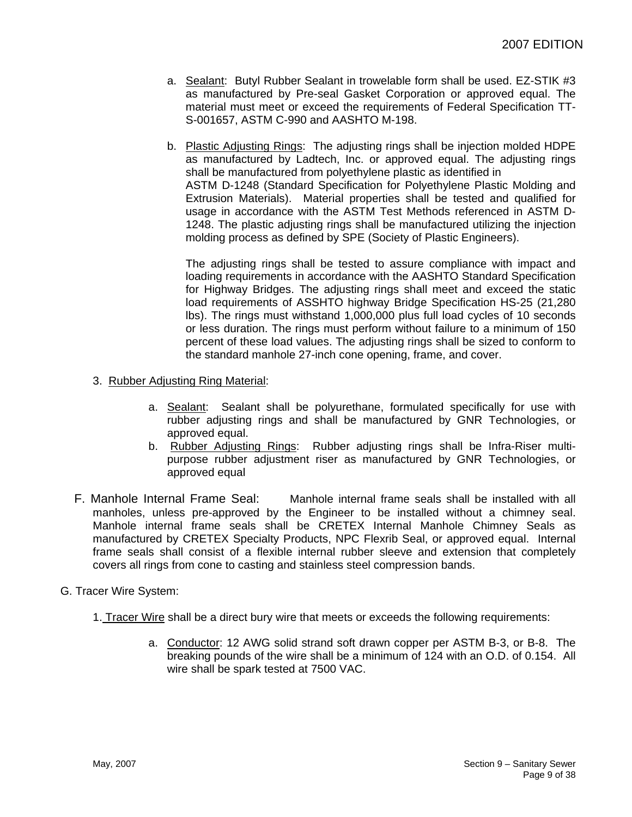- a. Sealant: Butyl Rubber Sealant in trowelable form shall be used. EZ-STIK #3 as manufactured by Pre-seal Gasket Corporation or approved equal. The material must meet or exceed the requirements of Federal Specification TT-S-001657, ASTM C-990 and AASHTO M-198.
- b. Plastic Adjusting Rings: The adjusting rings shall be injection molded HDPE as manufactured by Ladtech, Inc. or approved equal. The adjusting rings shall be manufactured from polyethylene plastic as identified in ASTM D-1248 (Standard Specification for Polyethylene Plastic Molding and Extrusion Materials). Material properties shall be tested and qualified for usage in accordance with the ASTM Test Methods referenced in ASTM D-1248. The plastic adjusting rings shall be manufactured utilizing the injection molding process as defined by SPE (Society of Plastic Engineers).

The adjusting rings shall be tested to assure compliance with impact and loading requirements in accordance with the AASHTO Standard Specification for Highway Bridges. The adjusting rings shall meet and exceed the static load requirements of ASSHTO highway Bridge Specification HS-25 (21,280 lbs). The rings must withstand 1,000,000 plus full load cycles of 10 seconds or less duration. The rings must perform without failure to a minimum of 150 percent of these load values. The adjusting rings shall be sized to conform to the standard manhole 27-inch cone opening, frame, and cover.

- 3. Rubber Adjusting Ring Material:
	- a. Sealant: Sealant shall be polyurethane, formulated specifically for use with rubber adjusting rings and shall be manufactured by GNR Technologies, or approved equal.
	- b. Rubber Adjusting Rings: Rubber adjusting rings shall be Infra-Riser multipurpose rubber adjustment riser as manufactured by GNR Technologies, or approved equal
- F. Manhole Internal Frame Seal: Manhole internal frame seals shall be installed with all manholes, unless pre-approved by the Engineer to be installed without a chimney seal. Manhole internal frame seals shall be CRETEX Internal Manhole Chimney Seals as manufactured by CRETEX Specialty Products, NPC Flexrib Seal, or approved equal. Internal frame seals shall consist of a flexible internal rubber sleeve and extension that completely covers all rings from cone to casting and stainless steel compression bands.

# G. Tracer Wire System:

- 1. Tracer Wire shall be a direct bury wire that meets or exceeds the following requirements:
	- a. Conductor: 12 AWG solid strand soft drawn copper per ASTM B-3, or B-8. The breaking pounds of the wire shall be a minimum of 124 with an O.D. of 0.154. All wire shall be spark tested at 7500 VAC.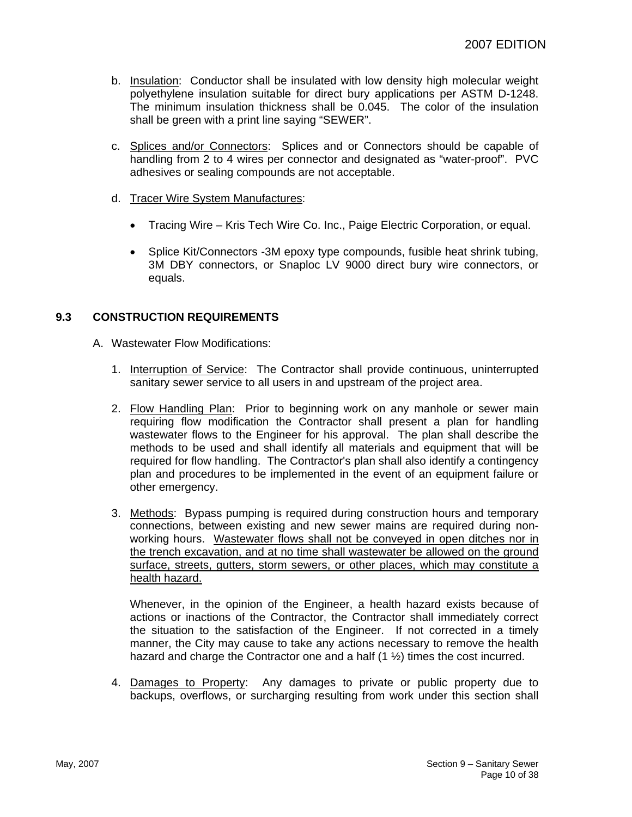- b. Insulation: Conductor shall be insulated with low density high molecular weight polyethylene insulation suitable for direct bury applications per ASTM D-1248. The minimum insulation thickness shall be 0.045. The color of the insulation shall be green with a print line saying "SEWER".
- c. Splices and/or Connectors: Splices and or Connectors should be capable of handling from 2 to 4 wires per connector and designated as "water-proof". PVC adhesives or sealing compounds are not acceptable.
- d. Tracer Wire System Manufactures:
	- Tracing Wire Kris Tech Wire Co. Inc., Paige Electric Corporation, or equal.
	- Splice Kit/Connectors -3M epoxy type compounds, fusible heat shrink tubing, 3M DBY connectors, or Snaploc LV 9000 direct bury wire connectors, or equals.

# **9.3 CONSTRUCTION REQUIREMENTS**

- A. Wastewater Flow Modifications:
	- 1. Interruption of Service: The Contractor shall provide continuous, uninterrupted sanitary sewer service to all users in and upstream of the project area.
	- 2. Flow Handling Plan: Prior to beginning work on any manhole or sewer main requiring flow modification the Contractor shall present a plan for handling wastewater flows to the Engineer for his approval. The plan shall describe the methods to be used and shall identify all materials and equipment that will be required for flow handling. The Contractor's plan shall also identify a contingency plan and procedures to be implemented in the event of an equipment failure or other emergency.
	- 3. Methods: Bypass pumping is required during construction hours and temporary connections, between existing and new sewer mains are required during nonworking hours. Wastewater flows shall not be conveyed in open ditches nor in the trench excavation, and at no time shall wastewater be allowed on the ground surface, streets, gutters, storm sewers, or other places, which may constitute a health hazard.

Whenever, in the opinion of the Engineer, a health hazard exists because of actions or inactions of the Contractor, the Contractor shall immediately correct the situation to the satisfaction of the Engineer. If not corrected in a timely manner, the City may cause to take any actions necessary to remove the health hazard and charge the Contractor one and a half  $(1 \frac{1}{2})$  times the cost incurred.

4. Damages to Property: Any damages to private or public property due to backups, overflows, or surcharging resulting from work under this section shall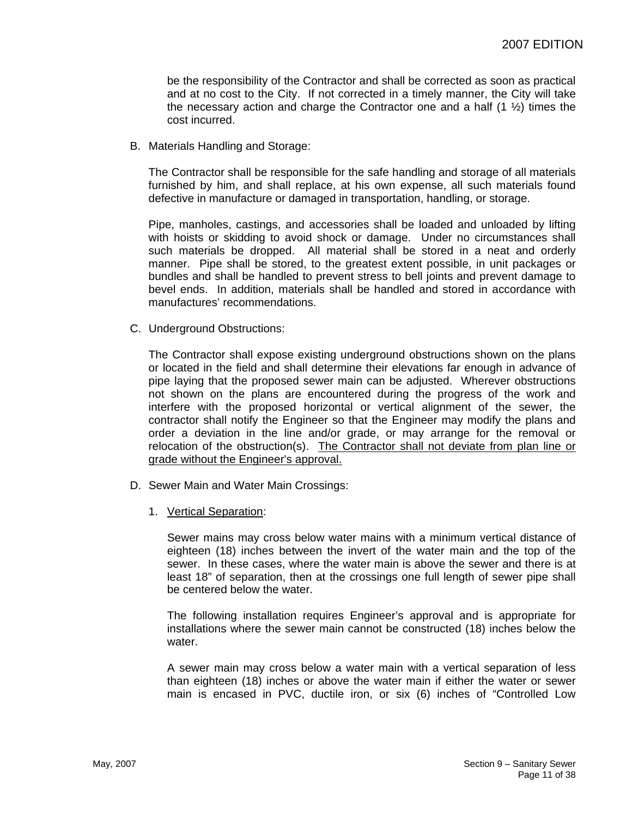be the responsibility of the Contractor and shall be corrected as soon as practical and at no cost to the City. If not corrected in a timely manner, the City will take the necessary action and charge the Contractor one and a half  $(1 \frac{1}{2})$  times the cost incurred.

B. Materials Handling and Storage:

The Contractor shall be responsible for the safe handling and storage of all materials furnished by him, and shall replace, at his own expense, all such materials found defective in manufacture or damaged in transportation, handling, or storage.

Pipe, manholes, castings, and accessories shall be loaded and unloaded by lifting with hoists or skidding to avoid shock or damage. Under no circumstances shall such materials be dropped. All material shall be stored in a neat and orderly manner. Pipe shall be stored, to the greatest extent possible, in unit packages or bundles and shall be handled to prevent stress to bell joints and prevent damage to bevel ends. In addition, materials shall be handled and stored in accordance with manufactures' recommendations.

C. Underground Obstructions:

The Contractor shall expose existing underground obstructions shown on the plans or located in the field and shall determine their elevations far enough in advance of pipe laying that the proposed sewer main can be adjusted. Wherever obstructions not shown on the plans are encountered during the progress of the work and interfere with the proposed horizontal or vertical alignment of the sewer, the contractor shall notify the Engineer so that the Engineer may modify the plans and order a deviation in the line and/or grade, or may arrange for the removal or relocation of the obstruction(s). The Contractor shall not deviate from plan line or grade without the Engineer's approval.

- D. Sewer Main and Water Main Crossings:
	- 1. Vertical Separation:

Sewer mains may cross below water mains with a minimum vertical distance of eighteen (18) inches between the invert of the water main and the top of the sewer. In these cases, where the water main is above the sewer and there is at least 18" of separation, then at the crossings one full length of sewer pipe shall be centered below the water.

The following installation requires Engineer's approval and is appropriate for installations where the sewer main cannot be constructed (18) inches below the water.

A sewer main may cross below a water main with a vertical separation of less than eighteen (18) inches or above the water main if either the water or sewer main is encased in PVC, ductile iron, or six (6) inches of "Controlled Low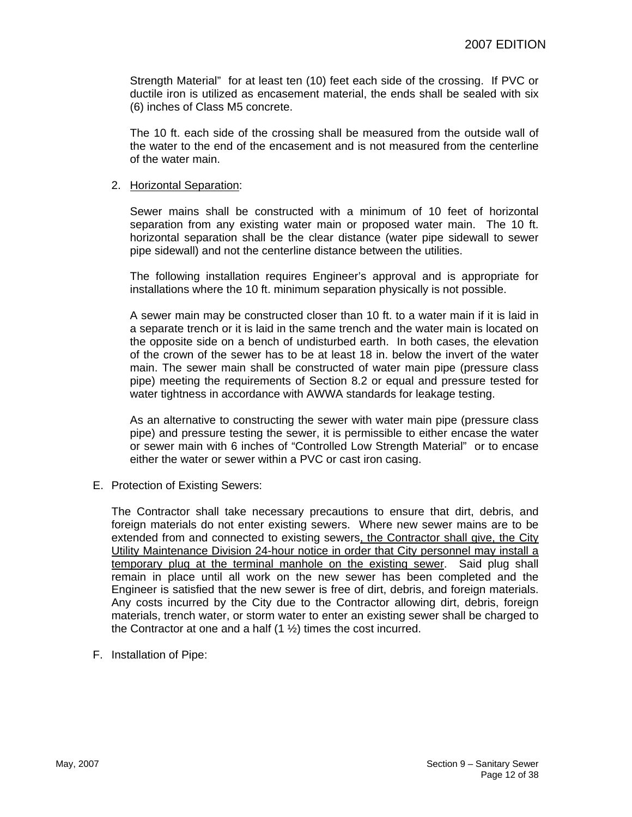Strength Material" for at least ten (10) feet each side of the crossing. If PVC or ductile iron is utilized as encasement material, the ends shall be sealed with six (6) inches of Class M5 concrete.

The 10 ft. each side of the crossing shall be measured from the outside wall of the water to the end of the encasement and is not measured from the centerline of the water main.

#### 2. Horizontal Separation:

Sewer mains shall be constructed with a minimum of 10 feet of horizontal separation from any existing water main or proposed water main. The 10 ft. horizontal separation shall be the clear distance (water pipe sidewall to sewer pipe sidewall) and not the centerline distance between the utilities.

The following installation requires Engineer's approval and is appropriate for installations where the 10 ft. minimum separation physically is not possible.

A sewer main may be constructed closer than 10 ft. to a water main if it is laid in a separate trench or it is laid in the same trench and the water main is located on the opposite side on a bench of undisturbed earth. In both cases, the elevation of the crown of the sewer has to be at least 18 in. below the invert of the water main. The sewer main shall be constructed of water main pipe (pressure class pipe) meeting the requirements of Section 8.2 or equal and pressure tested for water tightness in accordance with AWWA standards for leakage testing.

As an alternative to constructing the sewer with water main pipe (pressure class pipe) and pressure testing the sewer, it is permissible to either encase the water or sewer main with 6 inches of "Controlled Low Strength Material" or to encase either the water or sewer within a PVC or cast iron casing.

E. Protection of Existing Sewers:

The Contractor shall take necessary precautions to ensure that dirt, debris, and foreign materials do not enter existing sewers. Where new sewer mains are to be extended from and connected to existing sewers, the Contractor shall give, the City Utility Maintenance Division 24-hour notice in order that City personnel may install a temporary plug at the terminal manhole on the existing sewer. Said plug shall remain in place until all work on the new sewer has been completed and the Engineer is satisfied that the new sewer is free of dirt, debris, and foreign materials. Any costs incurred by the City due to the Contractor allowing dirt, debris, foreign materials, trench water, or storm water to enter an existing sewer shall be charged to the Contractor at one and a half  $(1 \frac{1}{2})$  times the cost incurred.

F. Installation of Pipe: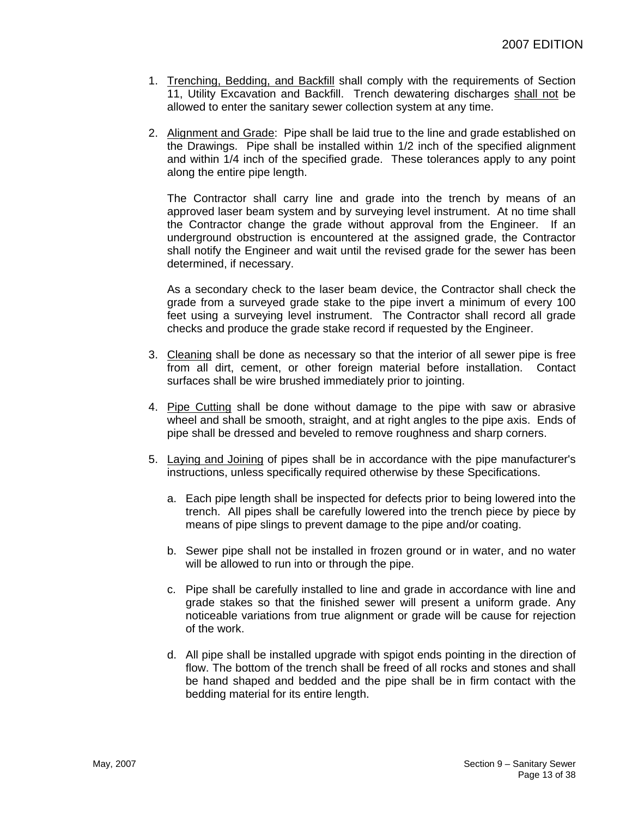- 1. Trenching, Bedding, and Backfill shall comply with the requirements of Section 11, Utility Excavation and Backfill. Trench dewatering discharges shall not be allowed to enter the sanitary sewer collection system at any time.
- 2. Alignment and Grade: Pipe shall be laid true to the line and grade established on the Drawings. Pipe shall be installed within 1/2 inch of the specified alignment and within 1/4 inch of the specified grade. These tolerances apply to any point along the entire pipe length.

The Contractor shall carry line and grade into the trench by means of an approved laser beam system and by surveying level instrument. At no time shall the Contractor change the grade without approval from the Engineer. If an underground obstruction is encountered at the assigned grade, the Contractor shall notify the Engineer and wait until the revised grade for the sewer has been determined, if necessary.

As a secondary check to the laser beam device, the Contractor shall check the grade from a surveyed grade stake to the pipe invert a minimum of every 100 feet using a surveying level instrument. The Contractor shall record all grade checks and produce the grade stake record if requested by the Engineer.

- 3. Cleaning shall be done as necessary so that the interior of all sewer pipe is free from all dirt, cement, or other foreign material before installation. Contact surfaces shall be wire brushed immediately prior to jointing.
- 4. Pipe Cutting shall be done without damage to the pipe with saw or abrasive wheel and shall be smooth, straight, and at right angles to the pipe axis. Ends of pipe shall be dressed and beveled to remove roughness and sharp corners.
- 5. Laying and Joining of pipes shall be in accordance with the pipe manufacturer's instructions, unless specifically required otherwise by these Specifications.
	- a. Each pipe length shall be inspected for defects prior to being lowered into the trench. All pipes shall be carefully lowered into the trench piece by piece by means of pipe slings to prevent damage to the pipe and/or coating.
	- b. Sewer pipe shall not be installed in frozen ground or in water, and no water will be allowed to run into or through the pipe.
	- c. Pipe shall be carefully installed to line and grade in accordance with line and grade stakes so that the finished sewer will present a uniform grade. Any noticeable variations from true alignment or grade will be cause for rejection of the work.
	- d. All pipe shall be installed upgrade with spigot ends pointing in the direction of flow. The bottom of the trench shall be freed of all rocks and stones and shall be hand shaped and bedded and the pipe shall be in firm contact with the bedding material for its entire length.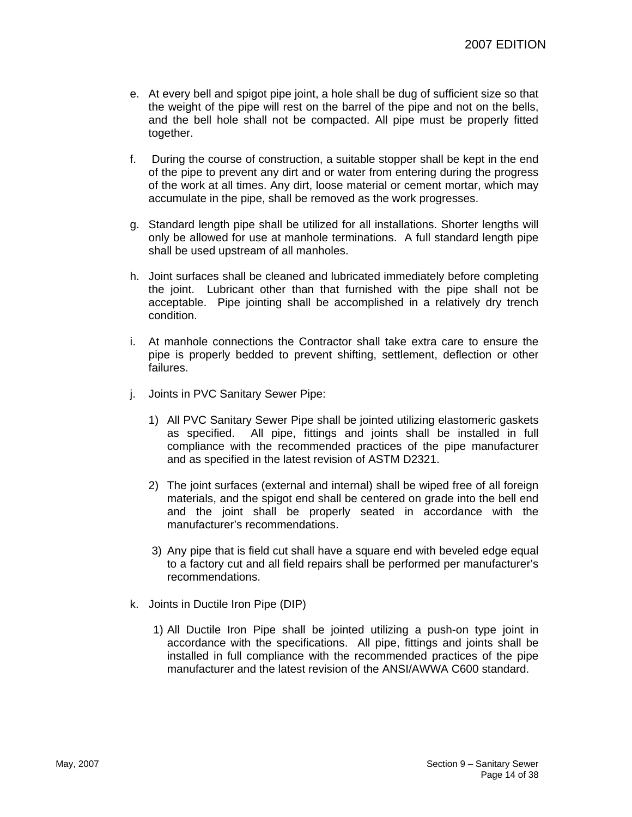- e. At every bell and spigot pipe joint, a hole shall be dug of sufficient size so that the weight of the pipe will rest on the barrel of the pipe and not on the bells, and the bell hole shall not be compacted. All pipe must be properly fitted together.
- f. During the course of construction, a suitable stopper shall be kept in the end of the pipe to prevent any dirt and or water from entering during the progress of the work at all times. Any dirt, loose material or cement mortar, which may accumulate in the pipe, shall be removed as the work progresses.
- g. Standard length pipe shall be utilized for all installations. Shorter lengths will only be allowed for use at manhole terminations. A full standard length pipe shall be used upstream of all manholes.
- h. Joint surfaces shall be cleaned and lubricated immediately before completing the joint. Lubricant other than that furnished with the pipe shall not be acceptable. Pipe jointing shall be accomplished in a relatively dry trench condition.
- i. At manhole connections the Contractor shall take extra care to ensure the pipe is properly bedded to prevent shifting, settlement, deflection or other failures.
- j. Joints in PVC Sanitary Sewer Pipe:
	- 1) All PVC Sanitary Sewer Pipe shall be jointed utilizing elastomeric gaskets as specified. All pipe, fittings and joints shall be installed in full compliance with the recommended practices of the pipe manufacturer and as specified in the latest revision of ASTM D2321.
	- 2) The joint surfaces (external and internal) shall be wiped free of all foreign materials, and the spigot end shall be centered on grade into the bell end and the joint shall be properly seated in accordance with the manufacturer's recommendations.
	- 3) Any pipe that is field cut shall have a square end with beveled edge equal to a factory cut and all field repairs shall be performed per manufacturer's recommendations.
- k. Joints in Ductile Iron Pipe (DIP)
	- 1) All Ductile Iron Pipe shall be jointed utilizing a push-on type joint in accordance with the specifications. All pipe, fittings and joints shall be installed in full compliance with the recommended practices of the pipe manufacturer and the latest revision of the ANSI/AWWA C600 standard.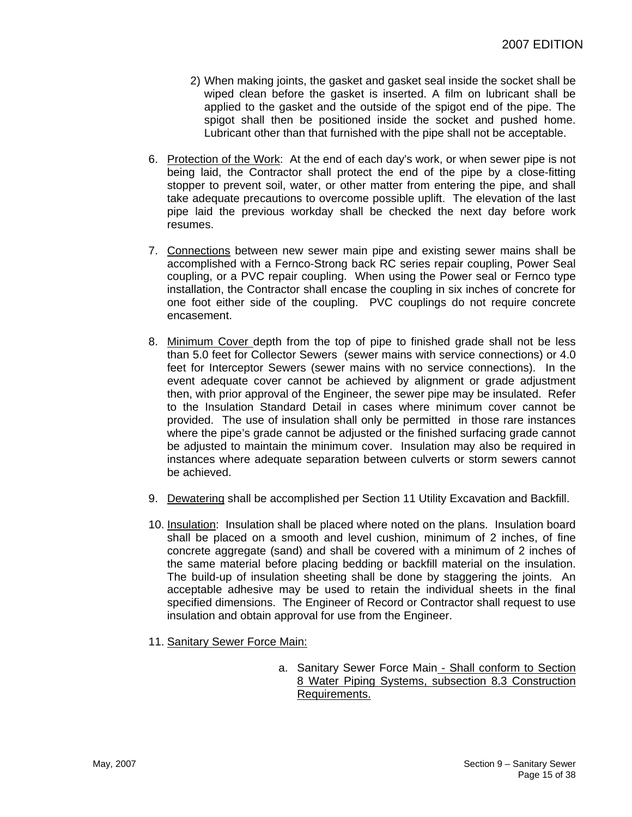- 2) When making joints, the gasket and gasket seal inside the socket shall be wiped clean before the gasket is inserted. A film on lubricant shall be applied to the gasket and the outside of the spigot end of the pipe. The spigot shall then be positioned inside the socket and pushed home. Lubricant other than that furnished with the pipe shall not be acceptable.
- 6. Protection of the Work: At the end of each day's work, or when sewer pipe is not being laid, the Contractor shall protect the end of the pipe by a close-fitting stopper to prevent soil, water, or other matter from entering the pipe, and shall take adequate precautions to overcome possible uplift. The elevation of the last pipe laid the previous workday shall be checked the next day before work resumes.
- 7. Connections between new sewer main pipe and existing sewer mains shall be accomplished with a Fernco-Strong back RC series repair coupling, Power Seal coupling, or a PVC repair coupling. When using the Power seal or Fernco type installation, the Contractor shall encase the coupling in six inches of concrete for one foot either side of the coupling. PVC couplings do not require concrete encasement.
- 8. Minimum Cover depth from the top of pipe to finished grade shall not be less than 5.0 feet for Collector Sewers (sewer mains with service connections) or 4.0 feet for Interceptor Sewers (sewer mains with no service connections). In the event adequate cover cannot be achieved by alignment or grade adjustment then, with prior approval of the Engineer, the sewer pipe may be insulated. Refer to the Insulation Standard Detail in cases where minimum cover cannot be provided. The use of insulation shall only be permitted in those rare instances where the pipe's grade cannot be adjusted or the finished surfacing grade cannot be adjusted to maintain the minimum cover. Insulation may also be required in instances where adequate separation between culverts or storm sewers cannot be achieved.
- 9. Dewatering shall be accomplished per Section 11 Utility Excavation and Backfill.
- 10. Insulation: Insulation shall be placed where noted on the plans. Insulation board shall be placed on a smooth and level cushion, minimum of 2 inches, of fine concrete aggregate (sand) and shall be covered with a minimum of 2 inches of the same material before placing bedding or backfill material on the insulation. The build-up of insulation sheeting shall be done by staggering the joints. An acceptable adhesive may be used to retain the individual sheets in the final specified dimensions. The Engineer of Record or Contractor shall request to use insulation and obtain approval for use from the Engineer.
- 11. Sanitary Sewer Force Main:
	- a. Sanitary Sewer Force Main Shall conform to Section 8 Water Piping Systems, subsection 8.3 Construction Requirements.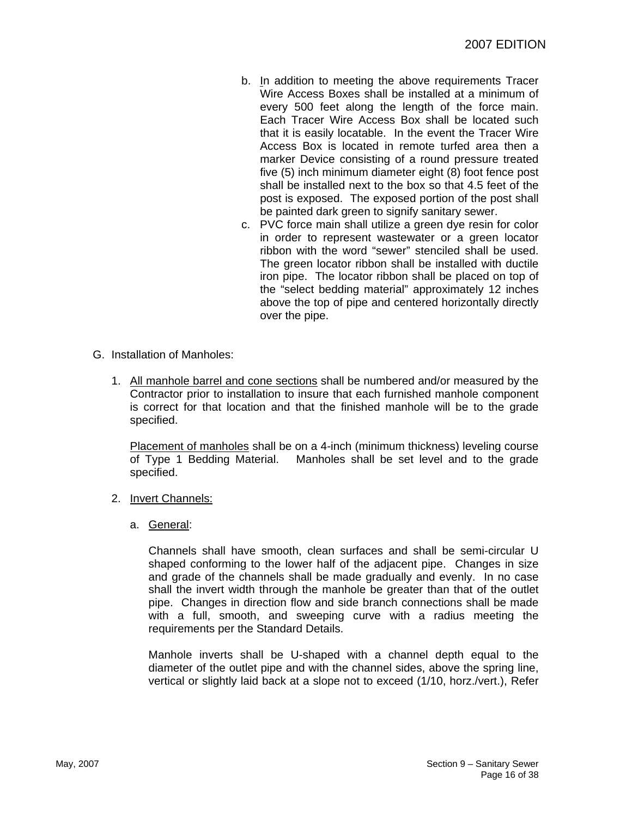- b. In addition to meeting the above requirements Tracer Wire Access Boxes shall be installed at a minimum of every 500 feet along the length of the force main. Each Tracer Wire Access Box shall be located such that it is easily locatable. In the event the Tracer Wire Access Box is located in remote turfed area then a marker Device consisting of a round pressure treated five (5) inch minimum diameter eight (8) foot fence post shall be installed next to the box so that 4.5 feet of the post is exposed. The exposed portion of the post shall be painted dark green to signify sanitary sewer.
- c. PVC force main shall utilize a green dye resin for color in order to represent wastewater or a green locator ribbon with the word "sewer" stenciled shall be used. The green locator ribbon shall be installed with ductile iron pipe. The locator ribbon shall be placed on top of the "select bedding material" approximately 12 inches above the top of pipe and centered horizontally directly over the pipe.
- G. Installation of Manholes:
	- 1. All manhole barrel and cone sections shall be numbered and/or measured by the Contractor prior to installation to insure that each furnished manhole component is correct for that location and that the finished manhole will be to the grade specified.

Placement of manholes shall be on a 4-inch (minimum thickness) leveling course of Type 1 Bedding Material. Manholes shall be set level and to the grade specified.

- 2. Invert Channels:
	- a. General:

Channels shall have smooth, clean surfaces and shall be semi-circular U shaped conforming to the lower half of the adjacent pipe. Changes in size and grade of the channels shall be made gradually and evenly. In no case shall the invert width through the manhole be greater than that of the outlet pipe. Changes in direction flow and side branch connections shall be made with a full, smooth, and sweeping curve with a radius meeting the requirements per the Standard Details.

Manhole inverts shall be U-shaped with a channel depth equal to the diameter of the outlet pipe and with the channel sides, above the spring line, vertical or slightly laid back at a slope not to exceed (1/10, horz./vert.), Refer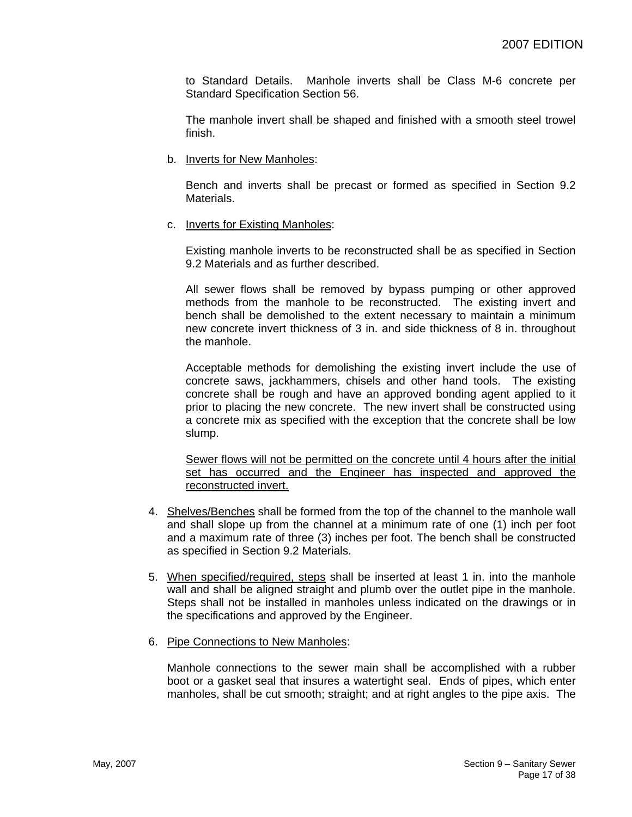to Standard Details. Manhole inverts shall be Class M-6 concrete per Standard Specification Section 56.

The manhole invert shall be shaped and finished with a smooth steel trowel finish.

b. Inverts for New Manholes:

Bench and inverts shall be precast or formed as specified in Section 9.2 Materials.

c. Inverts for Existing Manholes:

Existing manhole inverts to be reconstructed shall be as specified in Section 9.2 Materials and as further described.

All sewer flows shall be removed by bypass pumping or other approved methods from the manhole to be reconstructed. The existing invert and bench shall be demolished to the extent necessary to maintain a minimum new concrete invert thickness of 3 in. and side thickness of 8 in. throughout the manhole.

Acceptable methods for demolishing the existing invert include the use of concrete saws, jackhammers, chisels and other hand tools. The existing concrete shall be rough and have an approved bonding agent applied to it prior to placing the new concrete. The new invert shall be constructed using a concrete mix as specified with the exception that the concrete shall be low slump.

Sewer flows will not be permitted on the concrete until 4 hours after the initial set has occurred and the Engineer has inspected and approved the reconstructed invert.

- 4. Shelves/Benches shall be formed from the top of the channel to the manhole wall and shall slope up from the channel at a minimum rate of one (1) inch per foot and a maximum rate of three (3) inches per foot. The bench shall be constructed as specified in Section 9.2 Materials.
- 5. When specified/required, steps shall be inserted at least 1 in. into the manhole wall and shall be aligned straight and plumb over the outlet pipe in the manhole. Steps shall not be installed in manholes unless indicated on the drawings or in the specifications and approved by the Engineer.
- 6. Pipe Connections to New Manholes:

Manhole connections to the sewer main shall be accomplished with a rubber boot or a gasket seal that insures a watertight seal. Ends of pipes, which enter manholes, shall be cut smooth; straight; and at right angles to the pipe axis. The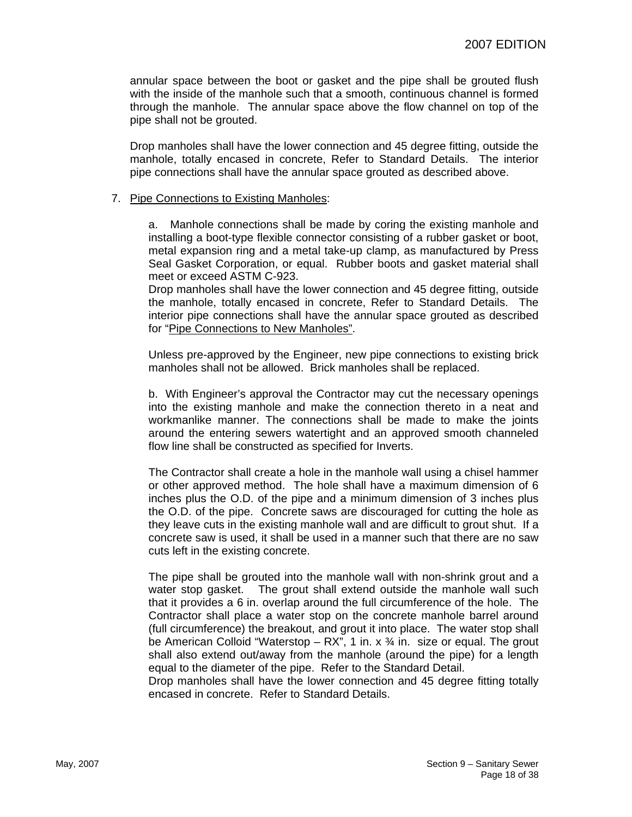annular space between the boot or gasket and the pipe shall be grouted flush with the inside of the manhole such that a smooth, continuous channel is formed through the manhole. The annular space above the flow channel on top of the pipe shall not be grouted.

Drop manholes shall have the lower connection and 45 degree fitting, outside the manhole, totally encased in concrete, Refer to Standard Details. The interior pipe connections shall have the annular space grouted as described above.

#### 7. Pipe Connections to Existing Manholes:

a. Manhole connections shall be made by coring the existing manhole and installing a boot-type flexible connector consisting of a rubber gasket or boot, metal expansion ring and a metal take-up clamp, as manufactured by Press Seal Gasket Corporation, or equal. Rubber boots and gasket material shall meet or exceed ASTM C-923.

Drop manholes shall have the lower connection and 45 degree fitting, outside the manhole, totally encased in concrete, Refer to Standard Details. The interior pipe connections shall have the annular space grouted as described for "Pipe Connections to New Manholes".

Unless pre-approved by the Engineer, new pipe connections to existing brick manholes shall not be allowed. Brick manholes shall be replaced.

b. With Engineer's approval the Contractor may cut the necessary openings into the existing manhole and make the connection thereto in a neat and workmanlike manner. The connections shall be made to make the joints around the entering sewers watertight and an approved smooth channeled flow line shall be constructed as specified for Inverts.

The Contractor shall create a hole in the manhole wall using a chisel hammer or other approved method. The hole shall have a maximum dimension of 6 inches plus the O.D. of the pipe and a minimum dimension of 3 inches plus the O.D. of the pipe. Concrete saws are discouraged for cutting the hole as they leave cuts in the existing manhole wall and are difficult to grout shut. If a concrete saw is used, it shall be used in a manner such that there are no saw cuts left in the existing concrete.

The pipe shall be grouted into the manhole wall with non-shrink grout and a water stop gasket. The grout shall extend outside the manhole wall such that it provides a 6 in. overlap around the full circumference of the hole. The Contractor shall place a water stop on the concrete manhole barrel around (full circumference) the breakout, and grout it into place. The water stop shall be American Colloid "Waterstop – RX", 1 in. x  $\frac{3}{4}$  in. size or equal. The grout shall also extend out/away from the manhole (around the pipe) for a length equal to the diameter of the pipe. Refer to the Standard Detail.

Drop manholes shall have the lower connection and 45 degree fitting totally encased in concrete. Refer to Standard Details.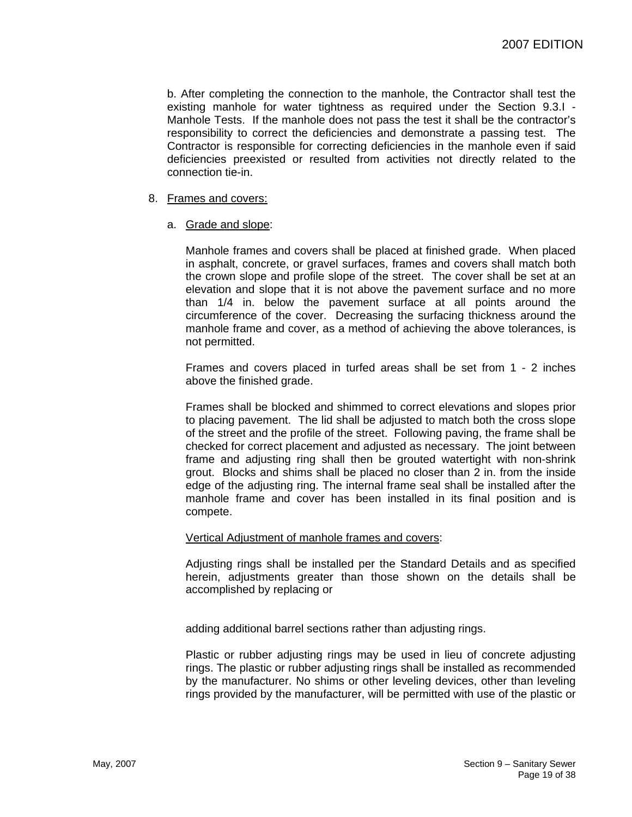b. After completing the connection to the manhole, the Contractor shall test the existing manhole for water tightness as required under the Section 9.3.I - Manhole Tests. If the manhole does not pass the test it shall be the contractor's responsibility to correct the deficiencies and demonstrate a passing test. The Contractor is responsible for correcting deficiencies in the manhole even if said deficiencies preexisted or resulted from activities not directly related to the connection tie-in.

#### 8. Frames and covers:

a. Grade and slope:

Manhole frames and covers shall be placed at finished grade. When placed in asphalt, concrete, or gravel surfaces, frames and covers shall match both the crown slope and profile slope of the street. The cover shall be set at an elevation and slope that it is not above the pavement surface and no more than 1/4 in. below the pavement surface at all points around the circumference of the cover. Decreasing the surfacing thickness around the manhole frame and cover, as a method of achieving the above tolerances, is not permitted.

Frames and covers placed in turfed areas shall be set from 1 - 2 inches above the finished grade.

Frames shall be blocked and shimmed to correct elevations and slopes prior to placing pavement. The lid shall be adjusted to match both the cross slope of the street and the profile of the street. Following paving, the frame shall be checked for correct placement and adjusted as necessary. The joint between frame and adjusting ring shall then be grouted watertight with non-shrink grout. Blocks and shims shall be placed no closer than 2 in. from the inside edge of the adjusting ring. The internal frame seal shall be installed after the manhole frame and cover has been installed in its final position and is compete.

#### Vertical Adjustment of manhole frames and covers:

Adjusting rings shall be installed per the Standard Details and as specified herein, adjustments greater than those shown on the details shall be accomplished by replacing or

adding additional barrel sections rather than adjusting rings.

Plastic or rubber adjusting rings may be used in lieu of concrete adjusting rings. The plastic or rubber adjusting rings shall be installed as recommended by the manufacturer. No shims or other leveling devices, other than leveling rings provided by the manufacturer, will be permitted with use of the plastic or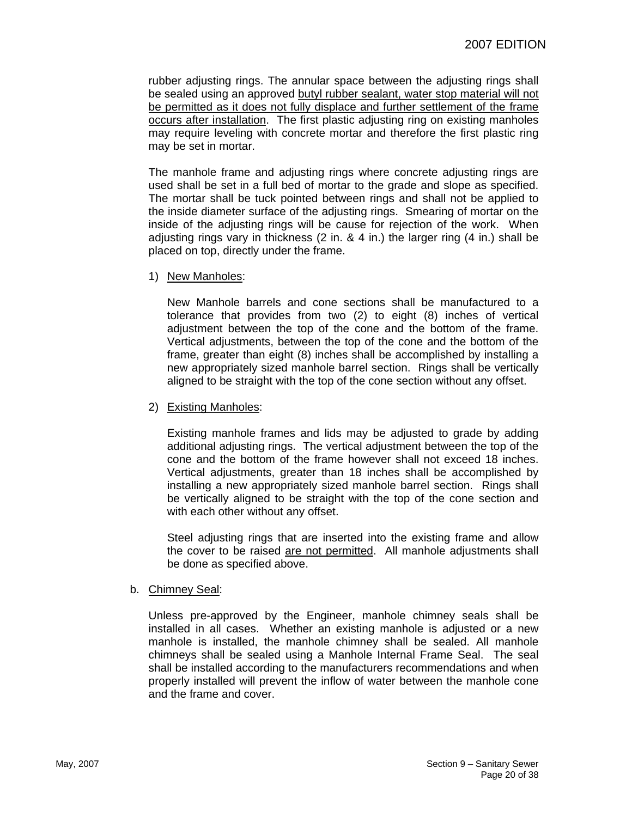rubber adjusting rings. The annular space between the adjusting rings shall be sealed using an approved butyl rubber sealant, water stop material will not be permitted as it does not fully displace and further settlement of the frame occurs after installation. The first plastic adjusting ring on existing manholes may require leveling with concrete mortar and therefore the first plastic ring may be set in mortar.

The manhole frame and adjusting rings where concrete adjusting rings are used shall be set in a full bed of mortar to the grade and slope as specified. The mortar shall be tuck pointed between rings and shall not be applied to the inside diameter surface of the adjusting rings. Smearing of mortar on the inside of the adjusting rings will be cause for rejection of the work. When adjusting rings vary in thickness (2 in. & 4 in.) the larger ring (4 in.) shall be placed on top, directly under the frame.

1) New Manholes:

New Manhole barrels and cone sections shall be manufactured to a tolerance that provides from two (2) to eight (8) inches of vertical adjustment between the top of the cone and the bottom of the frame. Vertical adjustments, between the top of the cone and the bottom of the frame, greater than eight (8) inches shall be accomplished by installing a new appropriately sized manhole barrel section. Rings shall be vertically aligned to be straight with the top of the cone section without any offset.

2) Existing Manholes:

Existing manhole frames and lids may be adjusted to grade by adding additional adjusting rings. The vertical adjustment between the top of the cone and the bottom of the frame however shall not exceed 18 inches. Vertical adjustments, greater than 18 inches shall be accomplished by installing a new appropriately sized manhole barrel section. Rings shall be vertically aligned to be straight with the top of the cone section and with each other without any offset.

Steel adjusting rings that are inserted into the existing frame and allow the cover to be raised are not permitted. All manhole adjustments shall be done as specified above.

b. Chimney Seal:

Unless pre-approved by the Engineer, manhole chimney seals shall be installed in all cases. Whether an existing manhole is adjusted or a new manhole is installed, the manhole chimney shall be sealed. All manhole chimneys shall be sealed using a Manhole Internal Frame Seal. The seal shall be installed according to the manufacturers recommendations and when properly installed will prevent the inflow of water between the manhole cone and the frame and cover.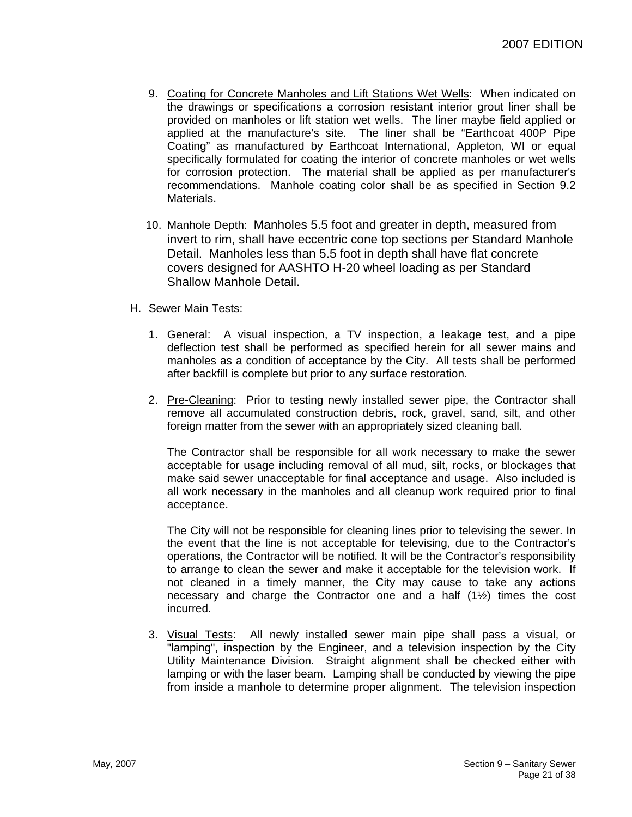- 9. Coating for Concrete Manholes and Lift Stations Wet Wells: When indicated on the drawings or specifications a corrosion resistant interior grout liner shall be provided on manholes or lift station wet wells. The liner maybe field applied or applied at the manufacture's site. The liner shall be "Earthcoat 400P Pipe Coating" as manufactured by Earthcoat International, Appleton, WI or equal specifically formulated for coating the interior of concrete manholes or wet wells for corrosion protection. The material shall be applied as per manufacturer's recommendations. Manhole coating color shall be as specified in Section 9.2 Materials.
- 10. Manhole Depth: Manholes 5.5 foot and greater in depth, measured from invert to rim, shall have eccentric cone top sections per Standard Manhole Detail. Manholes less than 5.5 foot in depth shall have flat concrete covers designed for AASHTO H-20 wheel loading as per Standard Shallow Manhole Detail.
- H. Sewer Main Tests:
	- 1. General: A visual inspection, a TV inspection, a leakage test, and a pipe deflection test shall be performed as specified herein for all sewer mains and manholes as a condition of acceptance by the City. All tests shall be performed after backfill is complete but prior to any surface restoration.
	- 2. Pre-Cleaning: Prior to testing newly installed sewer pipe, the Contractor shall remove all accumulated construction debris, rock, gravel, sand, silt, and other foreign matter from the sewer with an appropriately sized cleaning ball.

The Contractor shall be responsible for all work necessary to make the sewer acceptable for usage including removal of all mud, silt, rocks, or blockages that make said sewer unacceptable for final acceptance and usage. Also included is all work necessary in the manholes and all cleanup work required prior to final acceptance.

The City will not be responsible for cleaning lines prior to televising the sewer. In the event that the line is not acceptable for televising, due to the Contractor's operations, the Contractor will be notified. It will be the Contractor's responsibility to arrange to clean the sewer and make it acceptable for the television work. If not cleaned in a timely manner, the City may cause to take any actions necessary and charge the Contractor one and a half  $(1/2)$  times the cost incurred.

3. Visual Tests: All newly installed sewer main pipe shall pass a visual, or "lamping", inspection by the Engineer, and a television inspection by the City Utility Maintenance Division. Straight alignment shall be checked either with lamping or with the laser beam. Lamping shall be conducted by viewing the pipe from inside a manhole to determine proper alignment. The television inspection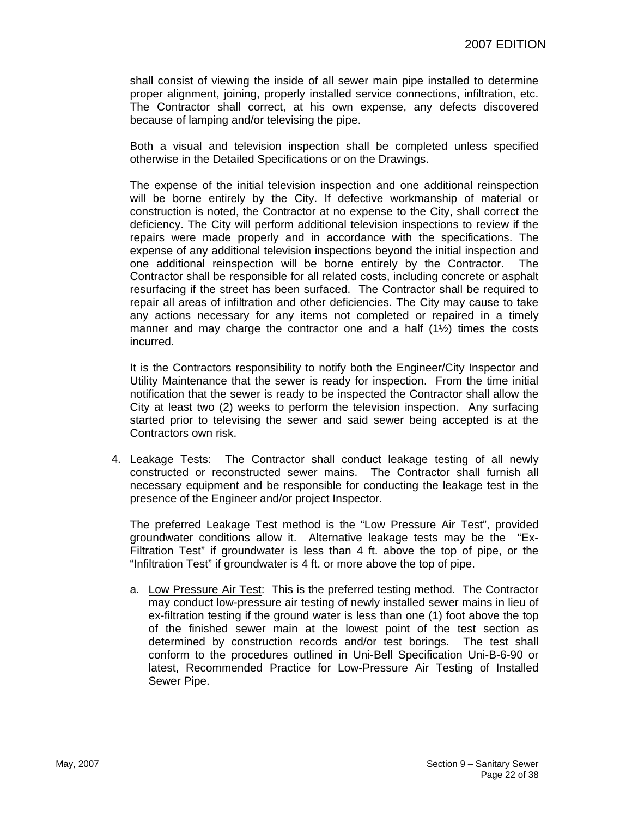shall consist of viewing the inside of all sewer main pipe installed to determine proper alignment, joining, properly installed service connections, infiltration, etc. The Contractor shall correct, at his own expense, any defects discovered because of lamping and/or televising the pipe.

Both a visual and television inspection shall be completed unless specified otherwise in the Detailed Specifications or on the Drawings.

The expense of the initial television inspection and one additional reinspection will be borne entirely by the City. If defective workmanship of material or construction is noted, the Contractor at no expense to the City, shall correct the deficiency. The City will perform additional television inspections to review if the repairs were made properly and in accordance with the specifications. The expense of any additional television inspections beyond the initial inspection and one additional reinspection will be borne entirely by the Contractor. The Contractor shall be responsible for all related costs, including concrete or asphalt resurfacing if the street has been surfaced. The Contractor shall be required to repair all areas of infiltration and other deficiencies. The City may cause to take any actions necessary for any items not completed or repaired in a timely manner and may charge the contractor one and a half  $(1\frac{1}{2})$  times the costs incurred.

It is the Contractors responsibility to notify both the Engineer/City Inspector and Utility Maintenance that the sewer is ready for inspection. From the time initial notification that the sewer is ready to be inspected the Contractor shall allow the City at least two (2) weeks to perform the television inspection. Any surfacing started prior to televising the sewer and said sewer being accepted is at the Contractors own risk.

4. Leakage Tests: The Contractor shall conduct leakage testing of all newly constructed or reconstructed sewer mains. The Contractor shall furnish all necessary equipment and be responsible for conducting the leakage test in the presence of the Engineer and/or project Inspector.

The preferred Leakage Test method is the "Low Pressure Air Test", provided groundwater conditions allow it. Alternative leakage tests may be the "Ex-Filtration Test" if groundwater is less than 4 ft. above the top of pipe, or the "Infiltration Test" if groundwater is 4 ft. or more above the top of pipe.

a. Low Pressure Air Test: This is the preferred testing method. The Contractor may conduct low-pressure air testing of newly installed sewer mains in lieu of ex-filtration testing if the ground water is less than one (1) foot above the top of the finished sewer main at the lowest point of the test section as determined by construction records and/or test borings. The test shall conform to the procedures outlined in Uni-Bell Specification Uni-B-6-90 or latest, Recommended Practice for Low-Pressure Air Testing of Installed Sewer Pipe.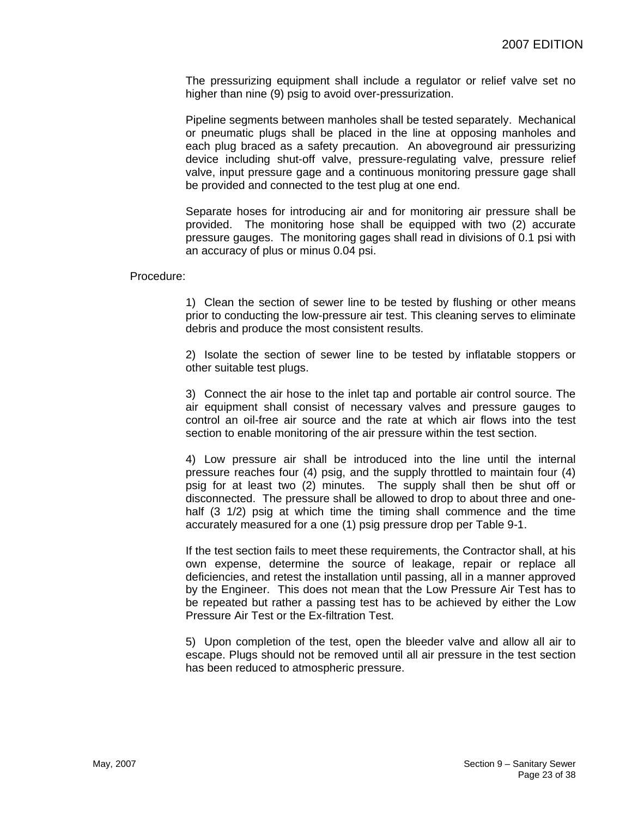The pressurizing equipment shall include a regulator or relief valve set no higher than nine (9) psig to avoid over-pressurization.

Pipeline segments between manholes shall be tested separately. Mechanical or pneumatic plugs shall be placed in the line at opposing manholes and each plug braced as a safety precaution. An aboveground air pressurizing device including shut-off valve, pressure-regulating valve, pressure relief valve, input pressure gage and a continuous monitoring pressure gage shall be provided and connected to the test plug at one end.

Separate hoses for introducing air and for monitoring air pressure shall be provided. The monitoring hose shall be equipped with two (2) accurate pressure gauges. The monitoring gages shall read in divisions of 0.1 psi with an accuracy of plus or minus 0.04 psi.

Procedure:

1) Clean the section of sewer line to be tested by flushing or other means prior to conducting the low-pressure air test. This cleaning serves to eliminate debris and produce the most consistent results.

2) Isolate the section of sewer line to be tested by inflatable stoppers or other suitable test plugs.

3) Connect the air hose to the inlet tap and portable air control source. The air equipment shall consist of necessary valves and pressure gauges to control an oil-free air source and the rate at which air flows into the test section to enable monitoring of the air pressure within the test section.

4) Low pressure air shall be introduced into the line until the internal pressure reaches four (4) psig, and the supply throttled to maintain four (4) psig for at least two (2) minutes. The supply shall then be shut off or disconnected. The pressure shall be allowed to drop to about three and onehalf (3 1/2) psig at which time the timing shall commence and the time accurately measured for a one (1) psig pressure drop per Table 9-1.

If the test section fails to meet these requirements, the Contractor shall, at his own expense, determine the source of leakage, repair or replace all deficiencies, and retest the installation until passing, all in a manner approved by the Engineer. This does not mean that the Low Pressure Air Test has to be repeated but rather a passing test has to be achieved by either the Low Pressure Air Test or the Ex-filtration Test.

5) Upon completion of the test, open the bleeder valve and allow all air to escape. Plugs should not be removed until all air pressure in the test section has been reduced to atmospheric pressure.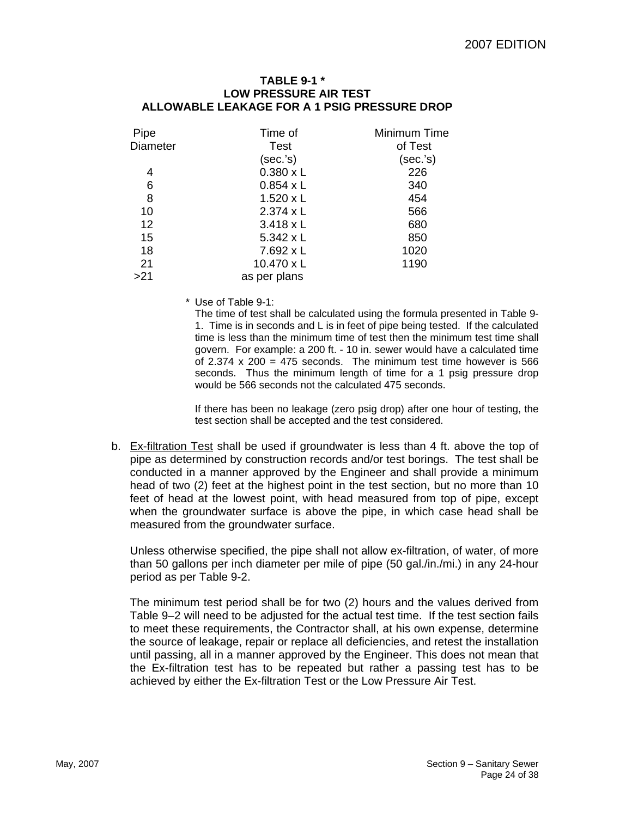#### **TABLE 9-1 \* LOW PRESSURE AIR TEST ALLOWABLE LEAKAGE FOR A 1 PSIG PRESSURE DROP**

| Pipe            | Time of           | Minimum Time |
|-----------------|-------------------|--------------|
| <b>Diameter</b> | Test              | of Test      |
|                 | (sec.'s)          | (sec.'s)     |
| 4               | $0.380 \times L$  | 226          |
| 6               | $0.854 \times L$  | 340          |
| 8               | $1.520 \times L$  | 454          |
| 10              | $2.374 \times L$  | 566          |
| 12              | $3.418 \times L$  | 680          |
| 15              | $5.342 \times L$  | 850          |
| 18              | $7.692 \times L$  | 1020         |
| 21              | $10.470 \times L$ | 1190         |
| >21             | as per plans      |              |

\* Use of Table 9-1:

The time of test shall be calculated using the formula presented in Table 9- 1. Time is in seconds and L is in feet of pipe being tested. If the calculated time is less than the minimum time of test then the minimum test time shall govern. For example: a 200 ft. - 10 in. sewer would have a calculated time of 2.374  $\times$  200 = 475 seconds. The minimum test time however is 566 seconds. Thus the minimum length of time for a 1 psig pressure drop would be 566 seconds not the calculated 475 seconds.

If there has been no leakage (zero psig drop) after one hour of testing, the test section shall be accepted and the test considered.

b. Ex-filtration Test shall be used if groundwater is less than 4 ft. above the top of pipe as determined by construction records and/or test borings. The test shall be conducted in a manner approved by the Engineer and shall provide a minimum head of two (2) feet at the highest point in the test section, but no more than 10 feet of head at the lowest point, with head measured from top of pipe, except when the groundwater surface is above the pipe, in which case head shall be measured from the groundwater surface.

Unless otherwise specified, the pipe shall not allow ex-filtration, of water, of more than 50 gallons per inch diameter per mile of pipe (50 gal./in./mi.) in any 24-hour period as per Table 9-2.

The minimum test period shall be for two (2) hours and the values derived from Table 9–2 will need to be adjusted for the actual test time. If the test section fails to meet these requirements, the Contractor shall, at his own expense, determine the source of leakage, repair or replace all deficiencies, and retest the installation until passing, all in a manner approved by the Engineer. This does not mean that the Ex-filtration test has to be repeated but rather a passing test has to be achieved by either the Ex-filtration Test or the Low Pressure Air Test.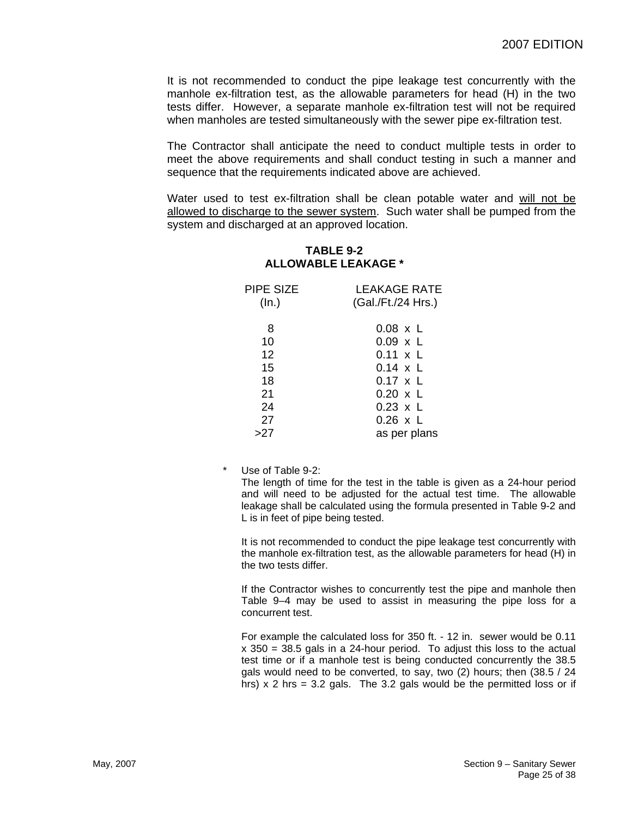It is not recommended to conduct the pipe leakage test concurrently with the manhole ex-filtration test, as the allowable parameters for head (H) in the two tests differ. However, a separate manhole ex-filtration test will not be required when manholes are tested simultaneously with the sewer pipe ex-filtration test.

The Contractor shall anticipate the need to conduct multiple tests in order to meet the above requirements and shall conduct testing in such a manner and sequence that the requirements indicated above are achieved.

Water used to test ex-filtration shall be clean potable water and will not be allowed to discharge to the sewer system. Such water shall be pumped from the system and discharged at an approved location.

## **TABLE 9-2 ALLOWABLE LEAKAGE \***

| PIPE SIZE<br>(ln.) | <b>LEAKAGE RATE</b><br>(Gal./Ft./24 Hrs.) |  |  |
|--------------------|-------------------------------------------|--|--|
| 8                  | $0.08 \times L$                           |  |  |
| 10                 | $0.09 \times L$                           |  |  |
| 12                 | $0.11 \times L$                           |  |  |
| 15                 | $0.14 \times L$                           |  |  |
| 18                 | $0.17 \times L$                           |  |  |
| 21                 | $0.20 \times L$                           |  |  |
| 24                 | $0.23 \times L$                           |  |  |
| 27                 | $0.26 \times L$                           |  |  |
| >27                | as per plans                              |  |  |

Use of Table 9-2:

The length of time for the test in the table is given as a 24-hour period and will need to be adjusted for the actual test time. The allowable leakage shall be calculated using the formula presented in Table 9-2 and L is in feet of pipe being tested.

It is not recommended to conduct the pipe leakage test concurrently with the manhole ex-filtration test, as the allowable parameters for head (H) in the two tests differ.

If the Contractor wishes to concurrently test the pipe and manhole then Table 9–4 may be used to assist in measuring the pipe loss for a concurrent test.

For example the calculated loss for 350 ft. - 12 in. sewer would be 0.11 x 350 = 38.5 gals in a 24-hour period. To adjust this loss to the actual test time or if a manhole test is being conducted concurrently the 38.5 gals would need to be converted, to say, two (2) hours; then (38.5 / 24 hrs)  $x$  2 hrs = 3.2 gals. The 3.2 gals would be the permitted loss or if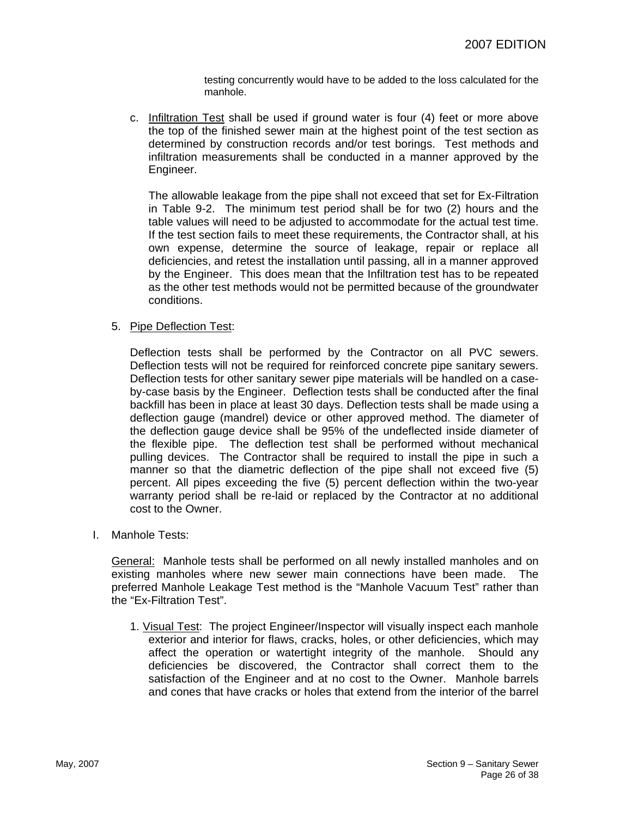testing concurrently would have to be added to the loss calculated for the manhole.

c. Infiltration Test shall be used if ground water is four (4) feet or more above the top of the finished sewer main at the highest point of the test section as determined by construction records and/or test borings. Test methods and infiltration measurements shall be conducted in a manner approved by the Engineer.

The allowable leakage from the pipe shall not exceed that set for Ex-Filtration in Table 9-2. The minimum test period shall be for two (2) hours and the table values will need to be adjusted to accommodate for the actual test time. If the test section fails to meet these requirements, the Contractor shall, at his own expense, determine the source of leakage, repair or replace all deficiencies, and retest the installation until passing, all in a manner approved by the Engineer. This does mean that the Infiltration test has to be repeated as the other test methods would not be permitted because of the groundwater conditions.

### 5. Pipe Deflection Test:

Deflection tests shall be performed by the Contractor on all PVC sewers. Deflection tests will not be required for reinforced concrete pipe sanitary sewers. Deflection tests for other sanitary sewer pipe materials will be handled on a caseby-case basis by the Engineer. Deflection tests shall be conducted after the final backfill has been in place at least 30 days. Deflection tests shall be made using a deflection gauge (mandrel) device or other approved method. The diameter of the deflection gauge device shall be 95% of the undeflected inside diameter of the flexible pipe. The deflection test shall be performed without mechanical pulling devices. The Contractor shall be required to install the pipe in such a manner so that the diametric deflection of the pipe shall not exceed five (5) percent. All pipes exceeding the five (5) percent deflection within the two-year warranty period shall be re-laid or replaced by the Contractor at no additional cost to the Owner.

I. Manhole Tests:

General: Manhole tests shall be performed on all newly installed manholes and on existing manholes where new sewer main connections have been made. The preferred Manhole Leakage Test method is the "Manhole Vacuum Test" rather than the "Ex-Filtration Test".

1. Visual Test: The project Engineer/Inspector will visually inspect each manhole exterior and interior for flaws, cracks, holes, or other deficiencies, which may affect the operation or watertight integrity of the manhole. Should any deficiencies be discovered, the Contractor shall correct them to the satisfaction of the Engineer and at no cost to the Owner. Manhole barrels and cones that have cracks or holes that extend from the interior of the barrel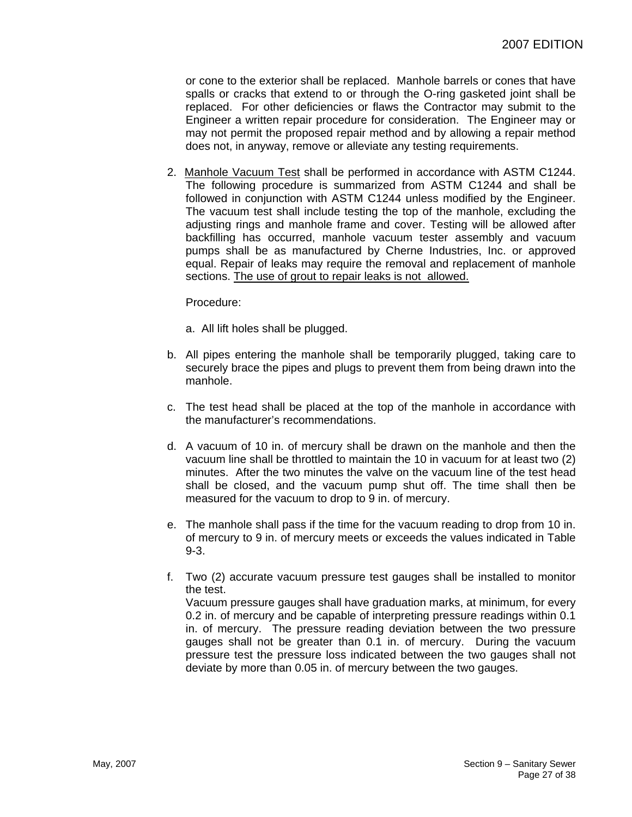or cone to the exterior shall be replaced. Manhole barrels or cones that have spalls or cracks that extend to or through the O-ring gasketed joint shall be replaced. For other deficiencies or flaws the Contractor may submit to the Engineer a written repair procedure for consideration. The Engineer may or may not permit the proposed repair method and by allowing a repair method does not, in anyway, remove or alleviate any testing requirements.

2. Manhole Vacuum Test shall be performed in accordance with ASTM C1244. The following procedure is summarized from ASTM C1244 and shall be followed in conjunction with ASTM C1244 unless modified by the Engineer. The vacuum test shall include testing the top of the manhole, excluding the adjusting rings and manhole frame and cover. Testing will be allowed after backfilling has occurred, manhole vacuum tester assembly and vacuum pumps shall be as manufactured by Cherne Industries, Inc. or approved equal. Repair of leaks may require the removal and replacement of manhole sections. The use of grout to repair leaks is not allowed.

Procedure:

- a. All lift holes shall be plugged.
- b. All pipes entering the manhole shall be temporarily plugged, taking care to securely brace the pipes and plugs to prevent them from being drawn into the manhole.
- c. The test head shall be placed at the top of the manhole in accordance with the manufacturer's recommendations.
- d. A vacuum of 10 in. of mercury shall be drawn on the manhole and then the vacuum line shall be throttled to maintain the 10 in vacuum for at least two (2) minutes. After the two minutes the valve on the vacuum line of the test head shall be closed, and the vacuum pump shut off. The time shall then be measured for the vacuum to drop to 9 in. of mercury.
- e. The manhole shall pass if the time for the vacuum reading to drop from 10 in. of mercury to 9 in. of mercury meets or exceeds the values indicated in Table 9-3.
- f. Two (2) accurate vacuum pressure test gauges shall be installed to monitor the test.

Vacuum pressure gauges shall have graduation marks, at minimum, for every 0.2 in. of mercury and be capable of interpreting pressure readings within 0.1 in. of mercury. The pressure reading deviation between the two pressure gauges shall not be greater than 0.1 in. of mercury. During the vacuum pressure test the pressure loss indicated between the two gauges shall not deviate by more than 0.05 in. of mercury between the two gauges.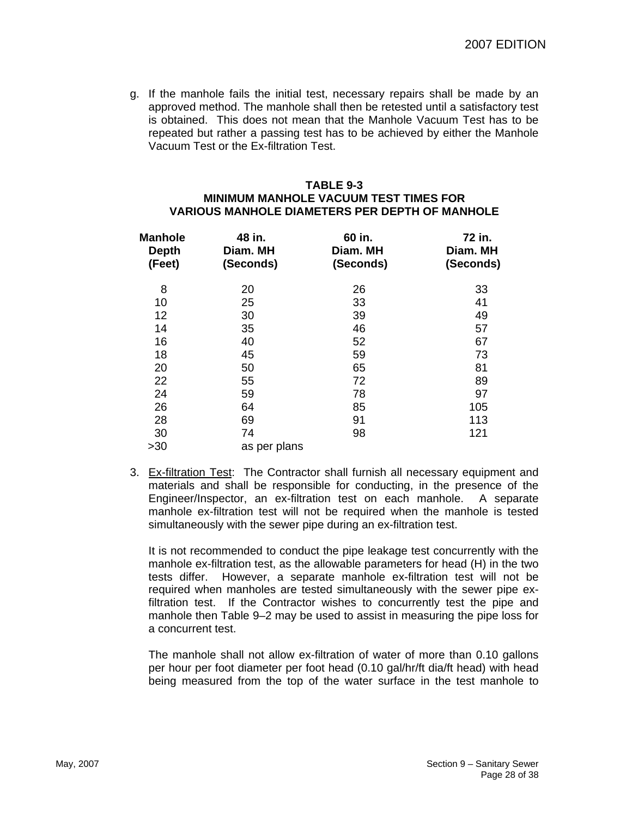g. If the manhole fails the initial test, necessary repairs shall be made by an approved method. The manhole shall then be retested until a satisfactory test is obtained. This does not mean that the Manhole Vacuum Test has to be repeated but rather a passing test has to be achieved by either the Manhole Vacuum Test or the Ex-filtration Test.

#### **TABLE 9-3 MINIMUM MANHOLE VACUUM TEST TIMES FOR VARIOUS MANHOLE DIAMETERS PER DEPTH OF MANHOLE**

| <b>Manhole</b><br><b>Depth</b><br>(Feet) | 48 in.<br>Diam. MH<br>(Seconds) | 60 in.<br>Diam. MH<br>(Seconds) | 72 in.<br>Diam. MH<br>(Seconds) |
|------------------------------------------|---------------------------------|---------------------------------|---------------------------------|
| 8                                        | 20                              | 26                              | 33                              |
| 10                                       | 25                              | 33                              | 41                              |
| 12                                       | 30                              | 39                              | 49                              |
| 14                                       | 35                              | 46                              | 57                              |
| 16                                       | 40                              | 52                              | 67                              |
| 18                                       | 45                              | 59                              | 73                              |
| 20                                       | 50                              | 65                              | 81                              |
| 22                                       | 55                              | 72                              | 89                              |
| 24                                       | 59                              | 78                              | 97                              |
| 26                                       | 64                              | 85                              | 105                             |
| 28                                       | 69                              | 91                              | 113                             |
| 30                                       | 74                              | 98                              | 121                             |
| >30                                      | as per plans                    |                                 |                                 |

3. Ex-filtration Test: The Contractor shall furnish all necessary equipment and materials and shall be responsible for conducting, in the presence of the Engineer/Inspector, an ex-filtration test on each manhole. A separate manhole ex-filtration test will not be required when the manhole is tested simultaneously with the sewer pipe during an ex-filtration test.

It is not recommended to conduct the pipe leakage test concurrently with the manhole ex-filtration test, as the allowable parameters for head (H) in the two tests differ. However, a separate manhole ex-filtration test will not be required when manholes are tested simultaneously with the sewer pipe exfiltration test. If the Contractor wishes to concurrently test the pipe and manhole then Table 9–2 may be used to assist in measuring the pipe loss for a concurrent test.

The manhole shall not allow ex-filtration of water of more than 0.10 gallons per hour per foot diameter per foot head (0.10 gal/hr/ft dia/ft head) with head being measured from the top of the water surface in the test manhole to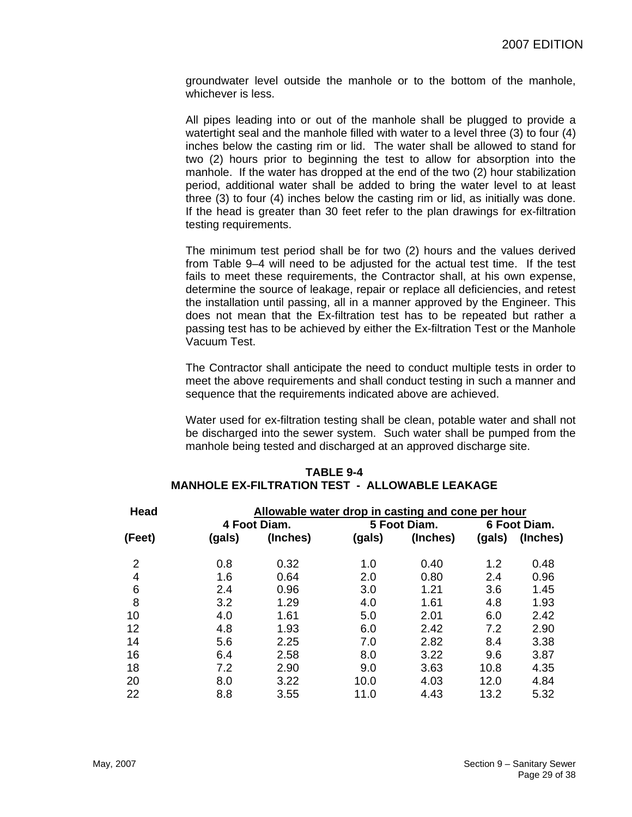groundwater level outside the manhole or to the bottom of the manhole, whichever is less.

All pipes leading into or out of the manhole shall be plugged to provide a watertight seal and the manhole filled with water to a level three (3) to four (4) inches below the casting rim or lid. The water shall be allowed to stand for two (2) hours prior to beginning the test to allow for absorption into the manhole. If the water has dropped at the end of the two (2) hour stabilization period, additional water shall be added to bring the water level to at least three (3) to four (4) inches below the casting rim or lid, as initially was done. If the head is greater than 30 feet refer to the plan drawings for ex-filtration testing requirements.

The minimum test period shall be for two (2) hours and the values derived from Table 9–4 will need to be adjusted for the actual test time. If the test fails to meet these requirements, the Contractor shall, at his own expense, determine the source of leakage, repair or replace all deficiencies, and retest the installation until passing, all in a manner approved by the Engineer. This does not mean that the Ex-filtration test has to be repeated but rather a passing test has to be achieved by either the Ex-filtration Test or the Manhole Vacuum Test.

The Contractor shall anticipate the need to conduct multiple tests in order to meet the above requirements and shall conduct testing in such a manner and sequence that the requirements indicated above are achieved.

Water used for ex-filtration testing shall be clean, potable water and shall not be discharged into the sewer system. Such water shall be pumped from the manhole being tested and discharged at an approved discharge site.

| Head           | Allowable water drop in casting and cone per hour |              |        |              |              |          |
|----------------|---------------------------------------------------|--------------|--------|--------------|--------------|----------|
|                |                                                   | 4 Foot Diam. |        | 5 Foot Diam. | 6 Foot Diam. |          |
| (Feet)         | (gals)                                            | (Inches)     | (gals) | (Inches)     | (gals)       | (Inches) |
| $\overline{2}$ | 0.8                                               | 0.32         | 1.0    | 0.40         | 1.2          | 0.48     |
| 4              | 1.6                                               | 0.64         | 2.0    | 0.80         | 2.4          | 0.96     |
| 6              | 2.4                                               | 0.96         | 3.0    | 1.21         | 3.6          | 1.45     |
| 8              | 3.2                                               | 1.29         | 4.0    | 1.61         | 4.8          | 1.93     |
| 10             | 4.0                                               | 1.61         | 5.0    | 2.01         | 6.0          | 2.42     |
| 12             | 4.8                                               | 1.93         | 6.0    | 2.42         | 7.2          | 2.90     |
| 14             | 5.6                                               | 2.25         | 7.0    | 2.82         | 8.4          | 3.38     |
| 16             | 6.4                                               | 2.58         | 8.0    | 3.22         | 9.6          | 3.87     |
| 18             | 7.2                                               | 2.90         | 9.0    | 3.63         | 10.8         | 4.35     |
| 20             | 8.0                                               | 3.22         | 10.0   | 4.03         | 12.0         | 4.84     |
| 22             | 8.8                                               | 3.55         | 11.0   | 4.43         | 13.2         | 5.32     |

#### **TABLE 9-4 MANHOLE EX-FILTRATION TEST - ALLOWABLE LEAKAGE**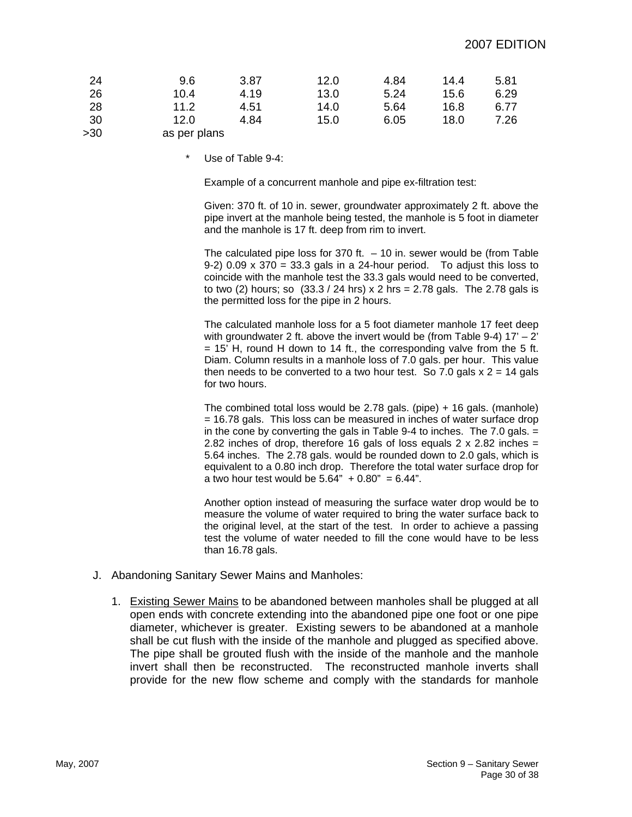| 24    | 9.6          | 3.87 | 12.0 | 4.84 | 14.4 | 5.81 |
|-------|--------------|------|------|------|------|------|
| 26    | 10.4         | 4.19 | 13.0 | 5.24 | 15.6 | 6.29 |
| 28    | 11.2         | 4.51 | 14.0 | 5.64 | 16.8 | 6.77 |
| 30    | 12.0         | 4.84 | 15.0 | 6.05 | 18.0 | 7.26 |
| $>30$ | as per plans |      |      |      |      |      |

Use of Table 9-4:

Example of a concurrent manhole and pipe ex-filtration test:

Given: 370 ft. of 10 in. sewer, groundwater approximately 2 ft. above the pipe invert at the manhole being tested, the manhole is 5 foot in diameter and the manhole is 17 ft. deep from rim to invert.

The calculated pipe loss for 370 ft.  $-10$  in. sewer would be (from Table 9-2) 0.09 x 370 = 33.3 gals in a 24-hour period. To adjust this loss to coincide with the manhole test the 33.3 gals would need to be converted, to two (2) hours; so  $(33.3 / 24$  hrs) x 2 hrs = 2.78 gals. The 2.78 gals is the permitted loss for the pipe in 2 hours.

The calculated manhole loss for a 5 foot diameter manhole 17 feet deep with groundwater 2 ft. above the invert would be (from Table 9-4)  $17' - 2'$  $= 15'$  H, round H down to 14 ft., the corresponding valve from the 5 ft. Diam. Column results in a manhole loss of 7.0 gals. per hour. This value then needs to be converted to a two hour test. So 7.0 gals  $x = 14$  gals for two hours.

The combined total loss would be 2.78 gals. (pipe) + 16 gals. (manhole) = 16.78 gals. This loss can be measured in inches of water surface drop in the cone by converting the gals in Table 9-4 to inches. The 7.0 gals. = 2.82 inches of drop, therefore 16 gals of loss equals 2 x 2.82 inches  $=$ 5.64 inches. The 2.78 gals. would be rounded down to 2.0 gals, which is equivalent to a 0.80 inch drop. Therefore the total water surface drop for a two hour test would be  $5.64" + 0.80" = 6.44".$ 

Another option instead of measuring the surface water drop would be to measure the volume of water required to bring the water surface back to the original level, at the start of the test. In order to achieve a passing test the volume of water needed to fill the cone would have to be less than 16.78 gals.

- J. Abandoning Sanitary Sewer Mains and Manholes:
	- 1. Existing Sewer Mains to be abandoned between manholes shall be plugged at all open ends with concrete extending into the abandoned pipe one foot or one pipe diameter, whichever is greater. Existing sewers to be abandoned at a manhole shall be cut flush with the inside of the manhole and plugged as specified above. The pipe shall be grouted flush with the inside of the manhole and the manhole invert shall then be reconstructed. The reconstructed manhole inverts shall provide for the new flow scheme and comply with the standards for manhole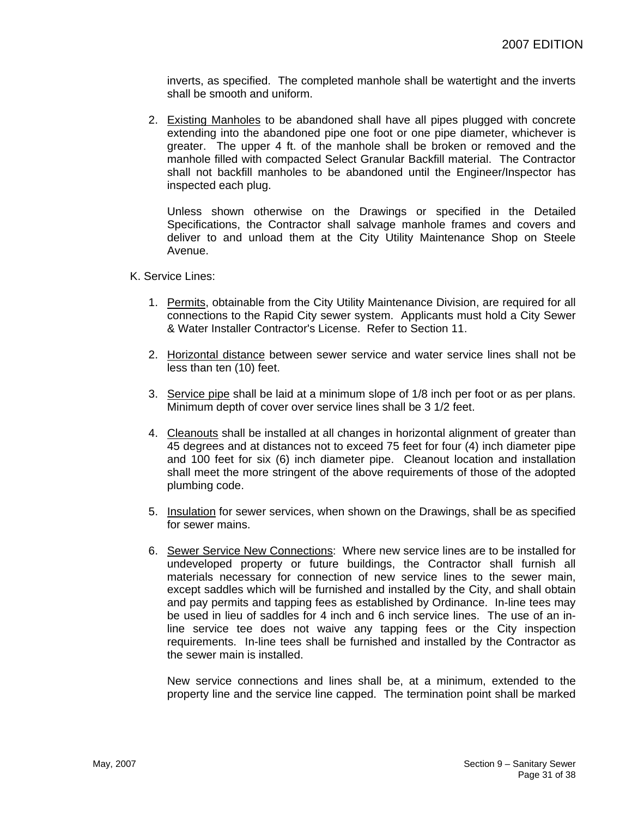inverts, as specified. The completed manhole shall be watertight and the inverts shall be smooth and uniform.

2. Existing Manholes to be abandoned shall have all pipes plugged with concrete extending into the abandoned pipe one foot or one pipe diameter, whichever is greater. The upper 4 ft. of the manhole shall be broken or removed and the manhole filled with compacted Select Granular Backfill material. The Contractor shall not backfill manholes to be abandoned until the Engineer/Inspector has inspected each plug.

Unless shown otherwise on the Drawings or specified in the Detailed Specifications, the Contractor shall salvage manhole frames and covers and deliver to and unload them at the City Utility Maintenance Shop on Steele Avenue.

K. Service Lines:

- 1. Permits, obtainable from the City Utility Maintenance Division, are required for all connections to the Rapid City sewer system. Applicants must hold a City Sewer & Water Installer Contractor's License. Refer to Section 11.
- 2. Horizontal distance between sewer service and water service lines shall not be less than ten (10) feet.
- 3. Service pipe shall be laid at a minimum slope of 1/8 inch per foot or as per plans. Minimum depth of cover over service lines shall be 3 1/2 feet.
- 4. Cleanouts shall be installed at all changes in horizontal alignment of greater than 45 degrees and at distances not to exceed 75 feet for four (4) inch diameter pipe and 100 feet for six (6) inch diameter pipe. Cleanout location and installation shall meet the more stringent of the above requirements of those of the adopted plumbing code.
- 5. Insulation for sewer services, when shown on the Drawings, shall be as specified for sewer mains.
- 6. Sewer Service New Connections: Where new service lines are to be installed for undeveloped property or future buildings, the Contractor shall furnish all materials necessary for connection of new service lines to the sewer main, except saddles which will be furnished and installed by the City, and shall obtain and pay permits and tapping fees as established by Ordinance. In-line tees may be used in lieu of saddles for 4 inch and 6 inch service lines. The use of an inline service tee does not waive any tapping fees or the City inspection requirements. In-line tees shall be furnished and installed by the Contractor as the sewer main is installed.

New service connections and lines shall be, at a minimum, extended to the property line and the service line capped. The termination point shall be marked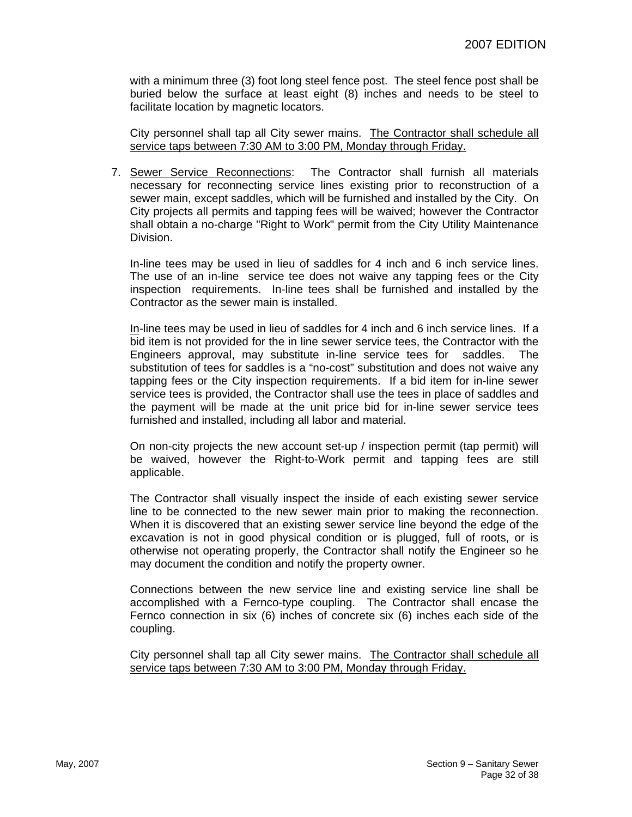with a minimum three (3) foot long steel fence post. The steel fence post shall be buried below the surface at least eight (8) inches and needs to be steel to facilitate location by magnetic locators.

City personnel shall tap all City sewer mains. The Contractor shall schedule all service taps between 7:30 AM to 3:00 PM, Monday through Friday.

7. Sewer Service Reconnections: The Contractor shall furnish all materials necessary for reconnecting service lines existing prior to reconstruction of a sewer main, except saddles, which will be furnished and installed by the City. On City projects all permits and tapping fees will be waived; however the Contractor shall obtain a no-charge "Right to Work" permit from the City Utility Maintenance Division.

In-line tees may be used in lieu of saddles for 4 inch and 6 inch service lines. The use of an in-line service tee does not waive any tapping fees or the City inspection requirements. In-line tees shall be furnished and installed by the Contractor as the sewer main is installed.

In-line tees may be used in lieu of saddles for 4 inch and 6 inch service lines. If a bid item is not provided for the in line sewer service tees, the Contractor with the Engineers approval, may substitute in-line service tees for saddles. The substitution of tees for saddles is a "no-cost" substitution and does not waive any tapping fees or the City inspection requirements. If a bid item for in-line sewer service tees is provided, the Contractor shall use the tees in place of saddles and the payment will be made at the unit price bid for in-line sewer service tees furnished and installed, including all labor and material.

On non-city projects the new account set-up / inspection permit (tap permit) will be waived, however the Right-to-Work permit and tapping fees are still applicable.

The Contractor shall visually inspect the inside of each existing sewer service line to be connected to the new sewer main prior to making the reconnection. When it is discovered that an existing sewer service line beyond the edge of the excavation is not in good physical condition or is plugged, full of roots, or is otherwise not operating properly, the Contractor shall notify the Engineer so he may document the condition and notify the property owner.

Connections between the new service line and existing service line shall be accomplished with a Fernco-type coupling. The Contractor shall encase the Fernco connection in six (6) inches of concrete six (6) inches each side of the coupling.

City personnel shall tap all City sewer mains. The Contractor shall schedule all service taps between 7:30 AM to 3:00 PM, Monday through Friday.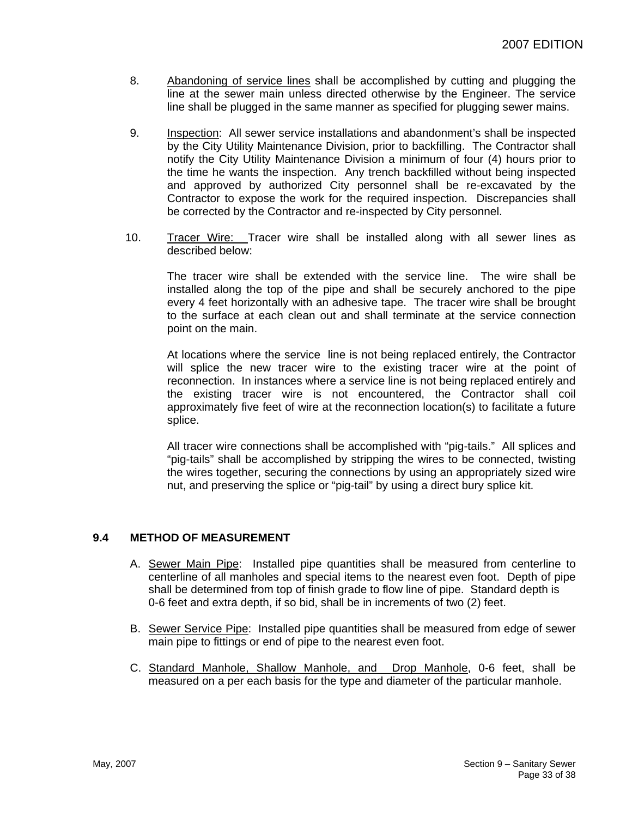- 8. Abandoning of service lines shall be accomplished by cutting and plugging the line at the sewer main unless directed otherwise by the Engineer. The service line shall be plugged in the same manner as specified for plugging sewer mains.
- 9. Inspection: All sewer service installations and abandonment's shall be inspected by the City Utility Maintenance Division, prior to backfilling. The Contractor shall notify the City Utility Maintenance Division a minimum of four (4) hours prior to the time he wants the inspection. Any trench backfilled without being inspected and approved by authorized City personnel shall be re-excavated by the Contractor to expose the work for the required inspection. Discrepancies shall be corrected by the Contractor and re-inspected by City personnel.
- 10. Tracer Wire: Tracer wire shall be installed along with all sewer lines as described below:

The tracer wire shall be extended with the service line. The wire shall be installed along the top of the pipe and shall be securely anchored to the pipe every 4 feet horizontally with an adhesive tape. The tracer wire shall be brought to the surface at each clean out and shall terminate at the service connection point on the main.

At locations where the service line is not being replaced entirely, the Contractor will splice the new tracer wire to the existing tracer wire at the point of reconnection. In instances where a service line is not being replaced entirely and the existing tracer wire is not encountered, the Contractor shall coil approximately five feet of wire at the reconnection location(s) to facilitate a future splice.

All tracer wire connections shall be accomplished with "pig-tails." All splices and "pig-tails" shall be accomplished by stripping the wires to be connected, twisting the wires together, securing the connections by using an appropriately sized wire nut, and preserving the splice or "pig-tail" by using a direct bury splice kit.

# **9.4 METHOD OF MEASUREMENT**

- A. Sewer Main Pipe: Installed pipe quantities shall be measured from centerline to centerline of all manholes and special items to the nearest even foot. Depth of pipe shall be determined from top of finish grade to flow line of pipe. Standard depth is 0-6 feet and extra depth, if so bid, shall be in increments of two (2) feet.
- B. Sewer Service Pipe: Installed pipe quantities shall be measured from edge of sewer main pipe to fittings or end of pipe to the nearest even foot.
- C. Standard Manhole, Shallow Manhole, and Drop Manhole, 0-6 feet, shall be measured on a per each basis for the type and diameter of the particular manhole.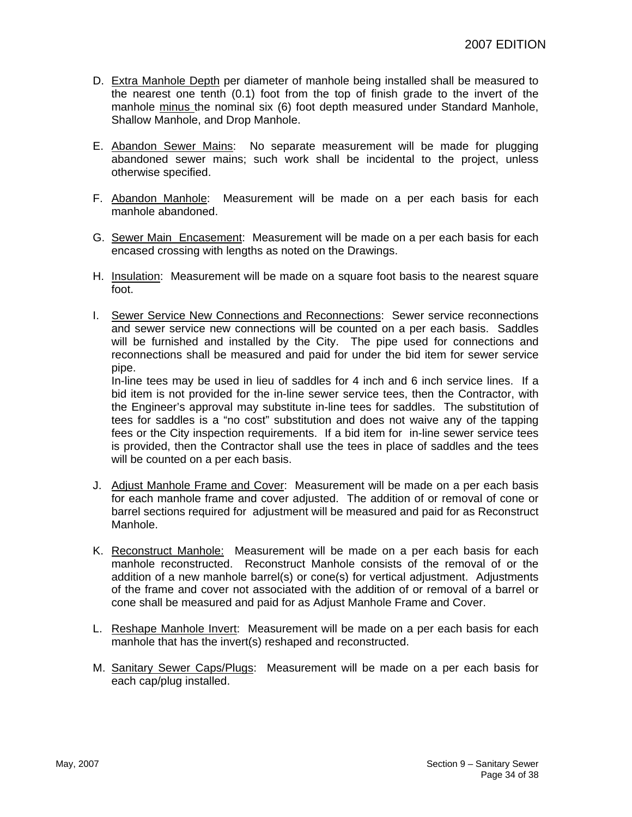- D. Extra Manhole Depth per diameter of manhole being installed shall be measured to the nearest one tenth (0.1) foot from the top of finish grade to the invert of the manhole minus the nominal six (6) foot depth measured under Standard Manhole, Shallow Manhole, and Drop Manhole.
- E. Abandon Sewer Mains: No separate measurement will be made for plugging abandoned sewer mains; such work shall be incidental to the project, unless otherwise specified.
- F. Abandon Manhole: Measurement will be made on a per each basis for each manhole abandoned.
- G. Sewer Main Encasement: Measurement will be made on a per each basis for each encased crossing with lengths as noted on the Drawings.
- H. Insulation: Measurement will be made on a square foot basis to the nearest square foot.
- I. Sewer Service New Connections and Reconnections: Sewer service reconnections and sewer service new connections will be counted on a per each basis. Saddles will be furnished and installed by the City. The pipe used for connections and reconnections shall be measured and paid for under the bid item for sewer service pipe.

In-line tees may be used in lieu of saddles for 4 inch and 6 inch service lines. If a bid item is not provided for the in-line sewer service tees, then the Contractor, with the Engineer's approval may substitute in-line tees for saddles. The substitution of tees for saddles is a "no cost" substitution and does not waive any of the tapping fees or the City inspection requirements. If a bid item for in-line sewer service tees is provided, then the Contractor shall use the tees in place of saddles and the tees will be counted on a per each basis.

- J. Adjust Manhole Frame and Cover: Measurement will be made on a per each basis for each manhole frame and cover adjusted. The addition of or removal of cone or barrel sections required for adjustment will be measured and paid for as Reconstruct Manhole.
- K. Reconstruct Manhole: Measurement will be made on a per each basis for each manhole reconstructed. Reconstruct Manhole consists of the removal of or the addition of a new manhole barrel(s) or cone(s) for vertical adjustment. Adjustments of the frame and cover not associated with the addition of or removal of a barrel or cone shall be measured and paid for as Adjust Manhole Frame and Cover.
- L. Reshape Manhole Invert: Measurement will be made on a per each basis for each manhole that has the invert(s) reshaped and reconstructed.
- M. Sanitary Sewer Caps/Plugs: Measurement will be made on a per each basis for each cap/plug installed.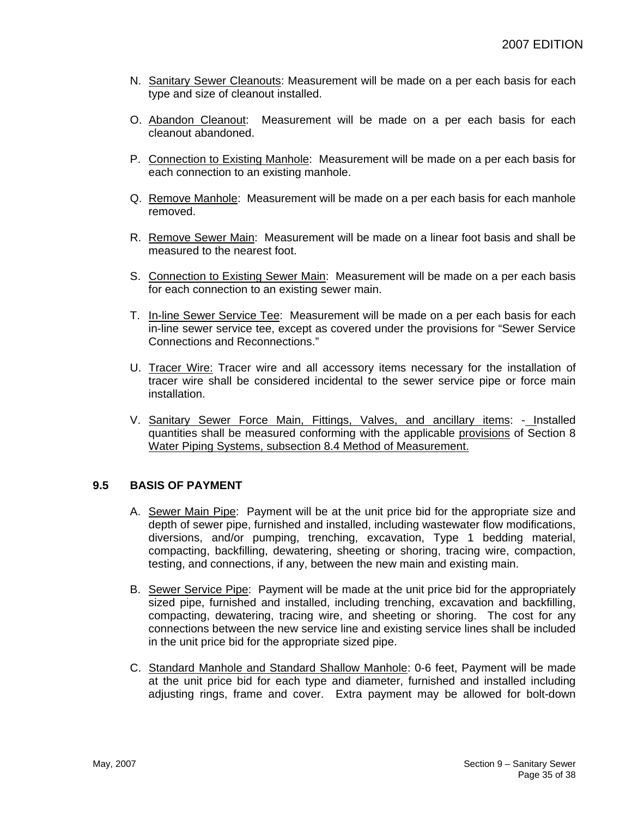- N. Sanitary Sewer Cleanouts: Measurement will be made on a per each basis for each type and size of cleanout installed.
- O. Abandon Cleanout: Measurement will be made on a per each basis for each cleanout abandoned.
- P. Connection to Existing Manhole: Measurement will be made on a per each basis for each connection to an existing manhole.
- Q. Remove Manhole: Measurement will be made on a per each basis for each manhole removed.
- R. Remove Sewer Main: Measurement will be made on a linear foot basis and shall be measured to the nearest foot.
- S. Connection to Existing Sewer Main: Measurement will be made on a per each basis for each connection to an existing sewer main.
- T. In-line Sewer Service Tee: Measurement will be made on a per each basis for each in-line sewer service tee, except as covered under the provisions for "Sewer Service Connections and Reconnections."
- U. Tracer Wire: Tracer wire and all accessory items necessary for the installation of tracer wire shall be considered incidental to the sewer service pipe or force main installation.
- V. Sanitary Sewer Force Main, Fittings, Valves, and ancillary items: Installed quantities shall be measured conforming with the applicable provisions of Section 8 Water Piping Systems, subsection 8.4 Method of Measurement.

# **9.5 BASIS OF PAYMENT**

- A. Sewer Main Pipe: Payment will be at the unit price bid for the appropriate size and depth of sewer pipe, furnished and installed, including wastewater flow modifications, diversions, and/or pumping, trenching, excavation, Type 1 bedding material, compacting, backfilling, dewatering, sheeting or shoring, tracing wire, compaction, testing, and connections, if any, between the new main and existing main.
- B. Sewer Service Pipe: Payment will be made at the unit price bid for the appropriately sized pipe, furnished and installed, including trenching, excavation and backfilling, compacting, dewatering, tracing wire, and sheeting or shoring. The cost for any connections between the new service line and existing service lines shall be included in the unit price bid for the appropriate sized pipe.
- C. Standard Manhole and Standard Shallow Manhole: 0-6 feet, Payment will be made at the unit price bid for each type and diameter, furnished and installed including adjusting rings, frame and cover. Extra payment may be allowed for bolt-down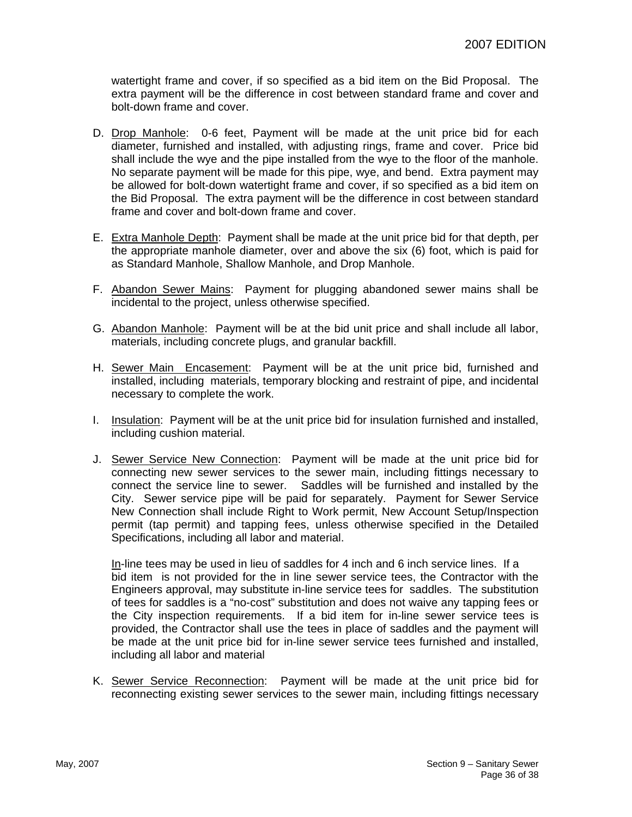watertight frame and cover, if so specified as a bid item on the Bid Proposal. The extra payment will be the difference in cost between standard frame and cover and bolt-down frame and cover.

- D. Drop Manhole: 0-6 feet, Payment will be made at the unit price bid for each diameter, furnished and installed, with adjusting rings, frame and cover. Price bid shall include the wye and the pipe installed from the wye to the floor of the manhole. No separate payment will be made for this pipe, wye, and bend. Extra payment may be allowed for bolt-down watertight frame and cover, if so specified as a bid item on the Bid Proposal. The extra payment will be the difference in cost between standard frame and cover and bolt-down frame and cover.
- E. Extra Manhole Depth: Payment shall be made at the unit price bid for that depth, per the appropriate manhole diameter, over and above the six (6) foot, which is paid for as Standard Manhole, Shallow Manhole, and Drop Manhole.
- F. Abandon Sewer Mains: Payment for plugging abandoned sewer mains shall be incidental to the project, unless otherwise specified.
- G. Abandon Manhole: Payment will be at the bid unit price and shall include all labor, materials, including concrete plugs, and granular backfill.
- H. Sewer Main Encasement: Payment will be at the unit price bid, furnished and installed, including materials, temporary blocking and restraint of pipe, and incidental necessary to complete the work.
- I. Insulation: Payment will be at the unit price bid for insulation furnished and installed, including cushion material.
- J. Sewer Service New Connection: Payment will be made at the unit price bid for connecting new sewer services to the sewer main, including fittings necessary to connect the service line to sewer. Saddles will be furnished and installed by the City. Sewer service pipe will be paid for separately. Payment for Sewer Service New Connection shall include Right to Work permit, New Account Setup/Inspection permit (tap permit) and tapping fees, unless otherwise specified in the Detailed Specifications, including all labor and material.

In-line tees may be used in lieu of saddles for 4 inch and 6 inch service lines. If a bid item is not provided for the in line sewer service tees, the Contractor with the Engineers approval, may substitute in-line service tees for saddles. The substitution of tees for saddles is a "no-cost" substitution and does not waive any tapping fees or the City inspection requirements. If a bid item for in-line sewer service tees is provided, the Contractor shall use the tees in place of saddles and the payment will be made at the unit price bid for in-line sewer service tees furnished and installed, including all labor and material

K. Sewer Service Reconnection: Payment will be made at the unit price bid for reconnecting existing sewer services to the sewer main, including fittings necessary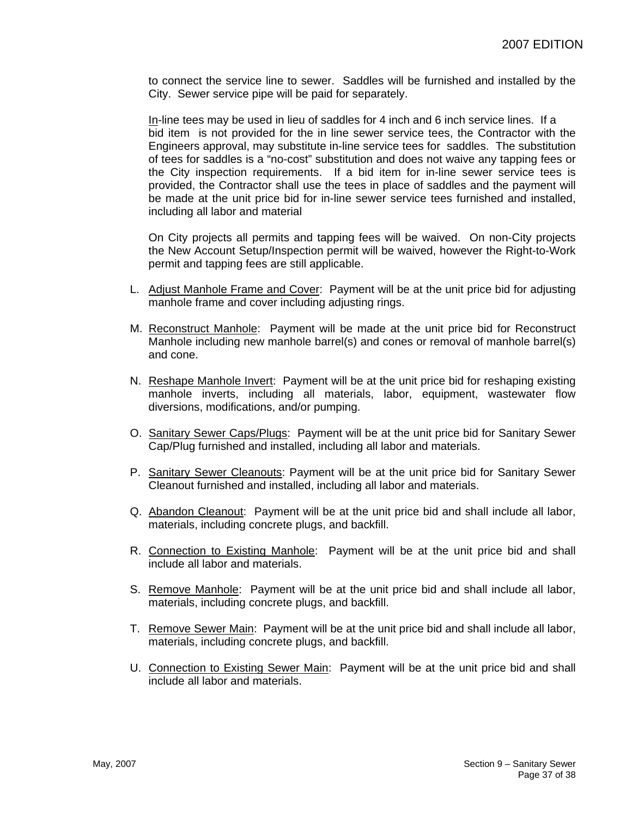to connect the service line to sewer. Saddles will be furnished and installed by the City. Sewer service pipe will be paid for separately.

In-line tees may be used in lieu of saddles for 4 inch and 6 inch service lines. If a bid item is not provided for the in line sewer service tees, the Contractor with the Engineers approval, may substitute in-line service tees for saddles. The substitution of tees for saddles is a "no-cost" substitution and does not waive any tapping fees or the City inspection requirements. If a bid item for in-line sewer service tees is provided, the Contractor shall use the tees in place of saddles and the payment will be made at the unit price bid for in-line sewer service tees furnished and installed, including all labor and material

On City projects all permits and tapping fees will be waived. On non-City projects the New Account Setup/Inspection permit will be waived, however the Right-to-Work permit and tapping fees are still applicable.

- L. Adjust Manhole Frame and Cover: Payment will be at the unit price bid for adjusting manhole frame and cover including adjusting rings.
- M. Reconstruct Manhole: Payment will be made at the unit price bid for Reconstruct Manhole including new manhole barrel(s) and cones or removal of manhole barrel(s) and cone.
- N. Reshape Manhole Invert: Payment will be at the unit price bid for reshaping existing manhole inverts, including all materials, labor, equipment, wastewater flow diversions, modifications, and/or pumping.
- O. Sanitary Sewer Caps/Plugs: Payment will be at the unit price bid for Sanitary Sewer Cap/Plug furnished and installed, including all labor and materials.
- P. Sanitary Sewer Cleanouts: Payment will be at the unit price bid for Sanitary Sewer Cleanout furnished and installed, including all labor and materials.
- Q. Abandon Cleanout: Payment will be at the unit price bid and shall include all labor, materials, including concrete plugs, and backfill.
- R. Connection to Existing Manhole: Payment will be at the unit price bid and shall include all labor and materials.
- S. Remove Manhole: Payment will be at the unit price bid and shall include all labor, materials, including concrete plugs, and backfill.
- T. Remove Sewer Main: Payment will be at the unit price bid and shall include all labor, materials, including concrete plugs, and backfill.
- U. Connection to Existing Sewer Main: Payment will be at the unit price bid and shall include all labor and materials.